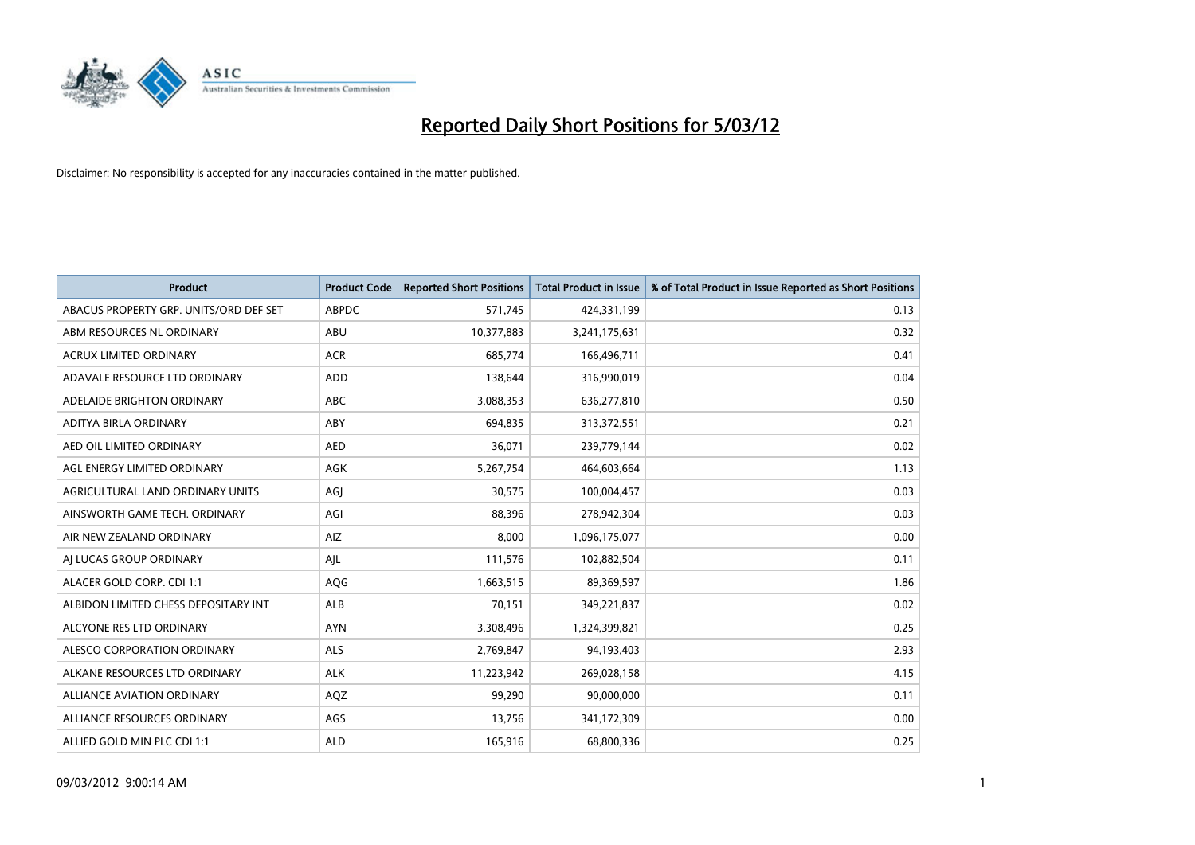

| <b>Product</b>                         | <b>Product Code</b> | <b>Reported Short Positions</b> | <b>Total Product in Issue</b> | % of Total Product in Issue Reported as Short Positions |
|----------------------------------------|---------------------|---------------------------------|-------------------------------|---------------------------------------------------------|
| ABACUS PROPERTY GRP. UNITS/ORD DEF SET | <b>ABPDC</b>        | 571,745                         | 424,331,199                   | 0.13                                                    |
| ABM RESOURCES NL ORDINARY              | ABU                 | 10,377,883                      | 3,241,175,631                 | 0.32                                                    |
| <b>ACRUX LIMITED ORDINARY</b>          | <b>ACR</b>          | 685,774                         | 166,496,711                   | 0.41                                                    |
| ADAVALE RESOURCE LTD ORDINARY          | <b>ADD</b>          | 138,644                         | 316,990,019                   | 0.04                                                    |
| ADELAIDE BRIGHTON ORDINARY             | <b>ABC</b>          | 3,088,353                       | 636,277,810                   | 0.50                                                    |
| ADITYA BIRLA ORDINARY                  | ABY                 | 694,835                         | 313,372,551                   | 0.21                                                    |
| AED OIL LIMITED ORDINARY               | <b>AED</b>          | 36,071                          | 239,779,144                   | 0.02                                                    |
| AGL ENERGY LIMITED ORDINARY            | AGK                 | 5,267,754                       | 464,603,664                   | 1.13                                                    |
| AGRICULTURAL LAND ORDINARY UNITS       | AGJ                 | 30,575                          | 100,004,457                   | 0.03                                                    |
| AINSWORTH GAME TECH. ORDINARY          | AGI                 | 88,396                          | 278,942,304                   | 0.03                                                    |
| AIR NEW ZEALAND ORDINARY               | AIZ                 | 8,000                           | 1,096,175,077                 | 0.00                                                    |
| AI LUCAS GROUP ORDINARY                | AJL                 | 111,576                         | 102,882,504                   | 0.11                                                    |
| ALACER GOLD CORP. CDI 1:1              | AQG                 | 1,663,515                       | 89,369,597                    | 1.86                                                    |
| ALBIDON LIMITED CHESS DEPOSITARY INT   | ALB                 | 70,151                          | 349,221,837                   | 0.02                                                    |
| ALCYONE RES LTD ORDINARY               | <b>AYN</b>          | 3,308,496                       | 1,324,399,821                 | 0.25                                                    |
| ALESCO CORPORATION ORDINARY            | ALS                 | 2,769,847                       | 94,193,403                    | 2.93                                                    |
| ALKANE RESOURCES LTD ORDINARY          | <b>ALK</b>          | 11,223,942                      | 269,028,158                   | 4.15                                                    |
| <b>ALLIANCE AVIATION ORDINARY</b>      | AQZ                 | 99,290                          | 90,000,000                    | 0.11                                                    |
| ALLIANCE RESOURCES ORDINARY            | AGS                 | 13,756                          | 341,172,309                   | 0.00                                                    |
| ALLIED GOLD MIN PLC CDI 1:1            | <b>ALD</b>          | 165,916                         | 68,800,336                    | 0.25                                                    |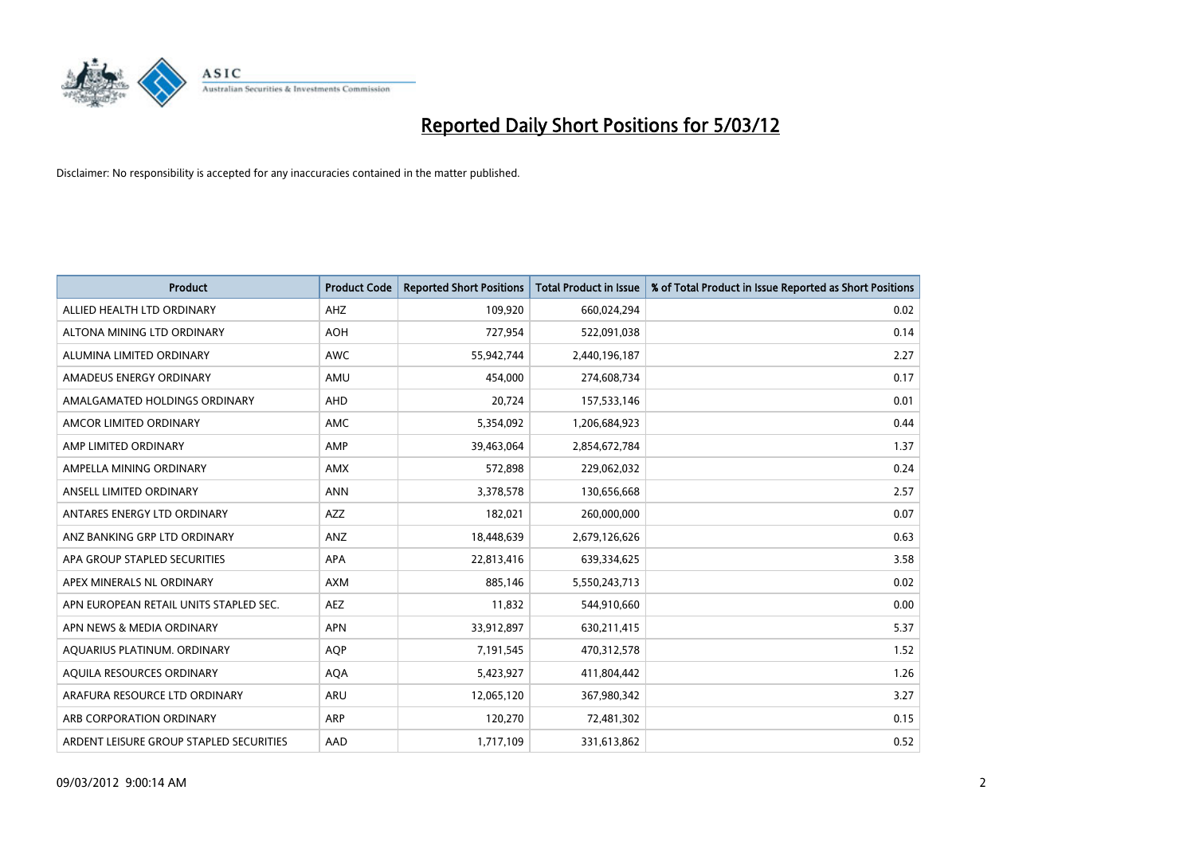

| <b>Product</b>                          | <b>Product Code</b> | <b>Reported Short Positions</b> | <b>Total Product in Issue</b> | % of Total Product in Issue Reported as Short Positions |
|-----------------------------------------|---------------------|---------------------------------|-------------------------------|---------------------------------------------------------|
| ALLIED HEALTH LTD ORDINARY              | AHZ                 | 109,920                         | 660,024,294                   | 0.02                                                    |
| ALTONA MINING LTD ORDINARY              | <b>AOH</b>          | 727,954                         | 522,091,038                   | 0.14                                                    |
| ALUMINA LIMITED ORDINARY                | <b>AWC</b>          | 55,942,744                      | 2,440,196,187                 | 2.27                                                    |
| AMADEUS ENERGY ORDINARY                 | AMU                 | 454,000                         | 274,608,734                   | 0.17                                                    |
| AMALGAMATED HOLDINGS ORDINARY           | AHD                 | 20,724                          | 157,533,146                   | 0.01                                                    |
| AMCOR LIMITED ORDINARY                  | AMC                 | 5,354,092                       | 1,206,684,923                 | 0.44                                                    |
| AMP LIMITED ORDINARY                    | AMP                 | 39,463,064                      | 2,854,672,784                 | 1.37                                                    |
| AMPELLA MINING ORDINARY                 | <b>AMX</b>          | 572,898                         | 229,062,032                   | 0.24                                                    |
| ANSELL LIMITED ORDINARY                 | <b>ANN</b>          | 3,378,578                       | 130,656,668                   | 2.57                                                    |
| ANTARES ENERGY LTD ORDINARY             | <b>AZZ</b>          | 182,021                         | 260,000,000                   | 0.07                                                    |
| ANZ BANKING GRP LTD ORDINARY            | ANZ                 | 18,448,639                      | 2,679,126,626                 | 0.63                                                    |
| APA GROUP STAPLED SECURITIES            | APA                 | 22,813,416                      | 639,334,625                   | 3.58                                                    |
| APEX MINERALS NL ORDINARY               | <b>AXM</b>          | 885,146                         | 5,550,243,713                 | 0.02                                                    |
| APN EUROPEAN RETAIL UNITS STAPLED SEC.  | AEZ                 | 11,832                          | 544,910,660                   | 0.00                                                    |
| APN NEWS & MEDIA ORDINARY               | <b>APN</b>          | 33,912,897                      | 630,211,415                   | 5.37                                                    |
| AQUARIUS PLATINUM. ORDINARY             | <b>AQP</b>          | 7,191,545                       | 470,312,578                   | 1.52                                                    |
| AQUILA RESOURCES ORDINARY               | <b>AQA</b>          | 5,423,927                       | 411,804,442                   | 1.26                                                    |
| ARAFURA RESOURCE LTD ORDINARY           | <b>ARU</b>          | 12,065,120                      | 367,980,342                   | 3.27                                                    |
| ARB CORPORATION ORDINARY                | ARP                 | 120,270                         | 72,481,302                    | 0.15                                                    |
| ARDENT LEISURE GROUP STAPLED SECURITIES | AAD                 | 1,717,109                       | 331,613,862                   | 0.52                                                    |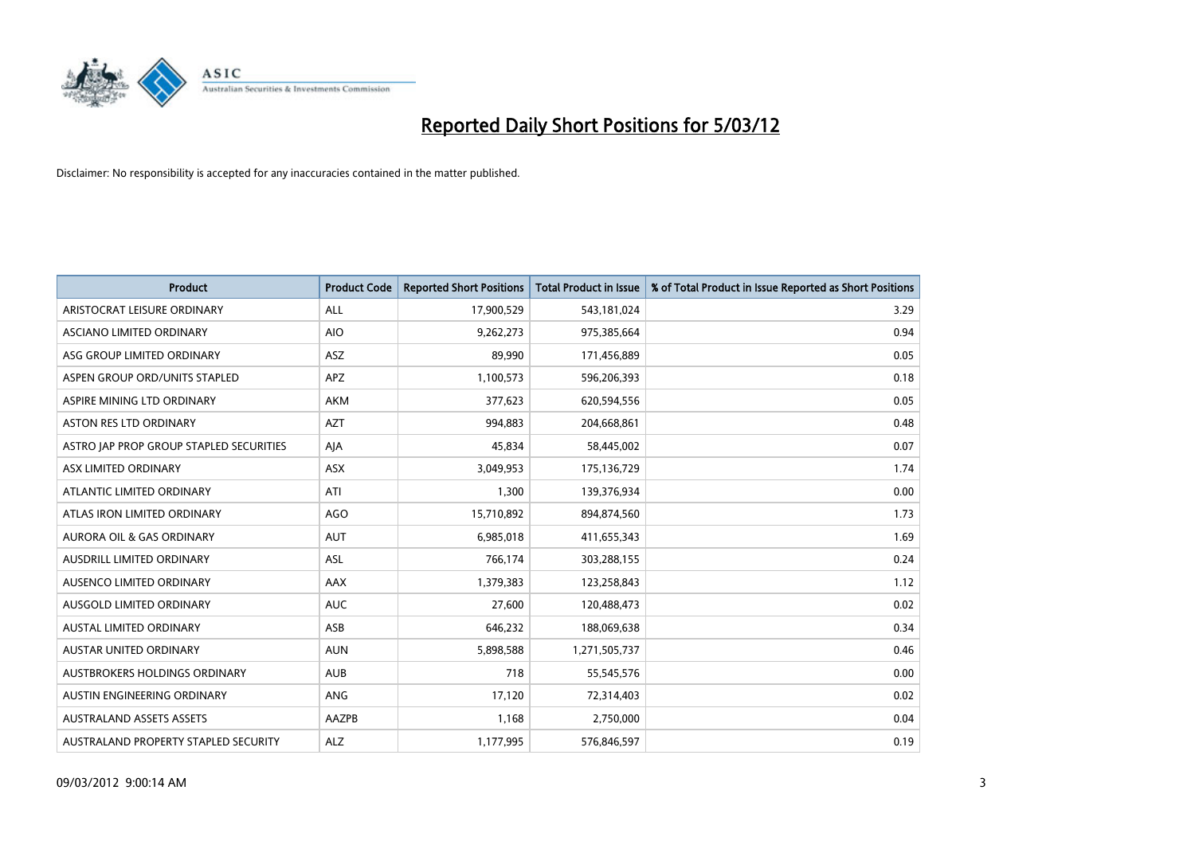

| <b>Product</b>                          | <b>Product Code</b> | <b>Reported Short Positions</b> | <b>Total Product in Issue</b> | % of Total Product in Issue Reported as Short Positions |
|-----------------------------------------|---------------------|---------------------------------|-------------------------------|---------------------------------------------------------|
| ARISTOCRAT LEISURE ORDINARY             | ALL                 | 17,900,529                      | 543,181,024                   | 3.29                                                    |
| ASCIANO LIMITED ORDINARY                | <b>AIO</b>          | 9,262,273                       | 975,385,664                   | 0.94                                                    |
| ASG GROUP LIMITED ORDINARY              | <b>ASZ</b>          | 89,990                          | 171,456,889                   | 0.05                                                    |
| ASPEN GROUP ORD/UNITS STAPLED           | APZ                 | 1,100,573                       | 596,206,393                   | 0.18                                                    |
| ASPIRE MINING LTD ORDINARY              | AKM                 | 377,623                         | 620,594,556                   | 0.05                                                    |
| <b>ASTON RES LTD ORDINARY</b>           | <b>AZT</b>          | 994,883                         | 204,668,861                   | 0.48                                                    |
| ASTRO JAP PROP GROUP STAPLED SECURITIES | AJA                 | 45,834                          | 58,445,002                    | 0.07                                                    |
| ASX LIMITED ORDINARY                    | ASX                 | 3,049,953                       | 175,136,729                   | 1.74                                                    |
| ATLANTIC LIMITED ORDINARY               | ATI                 | 1.300                           | 139,376,934                   | 0.00                                                    |
| ATLAS IRON LIMITED ORDINARY             | <b>AGO</b>          | 15,710,892                      | 894,874,560                   | 1.73                                                    |
| AURORA OIL & GAS ORDINARY               | AUT                 | 6,985,018                       | 411,655,343                   | 1.69                                                    |
| AUSDRILL LIMITED ORDINARY               | ASL                 | 766,174                         | 303,288,155                   | 0.24                                                    |
| AUSENCO LIMITED ORDINARY                | AAX                 | 1,379,383                       | 123,258,843                   | 1.12                                                    |
| AUSGOLD LIMITED ORDINARY                | <b>AUC</b>          | 27,600                          | 120,488,473                   | 0.02                                                    |
| <b>AUSTAL LIMITED ORDINARY</b>          | ASB                 | 646,232                         | 188,069,638                   | 0.34                                                    |
| AUSTAR UNITED ORDINARY                  | <b>AUN</b>          | 5,898,588                       | 1,271,505,737                 | 0.46                                                    |
| AUSTBROKERS HOLDINGS ORDINARY           | <b>AUB</b>          | 718                             | 55,545,576                    | 0.00                                                    |
| AUSTIN ENGINEERING ORDINARY             | ANG                 | 17,120                          | 72,314,403                    | 0.02                                                    |
| <b>AUSTRALAND ASSETS ASSETS</b>         | AAZPB               | 1,168                           | 2,750,000                     | 0.04                                                    |
| AUSTRALAND PROPERTY STAPLED SECURITY    | <b>ALZ</b>          | 1,177,995                       | 576,846,597                   | 0.19                                                    |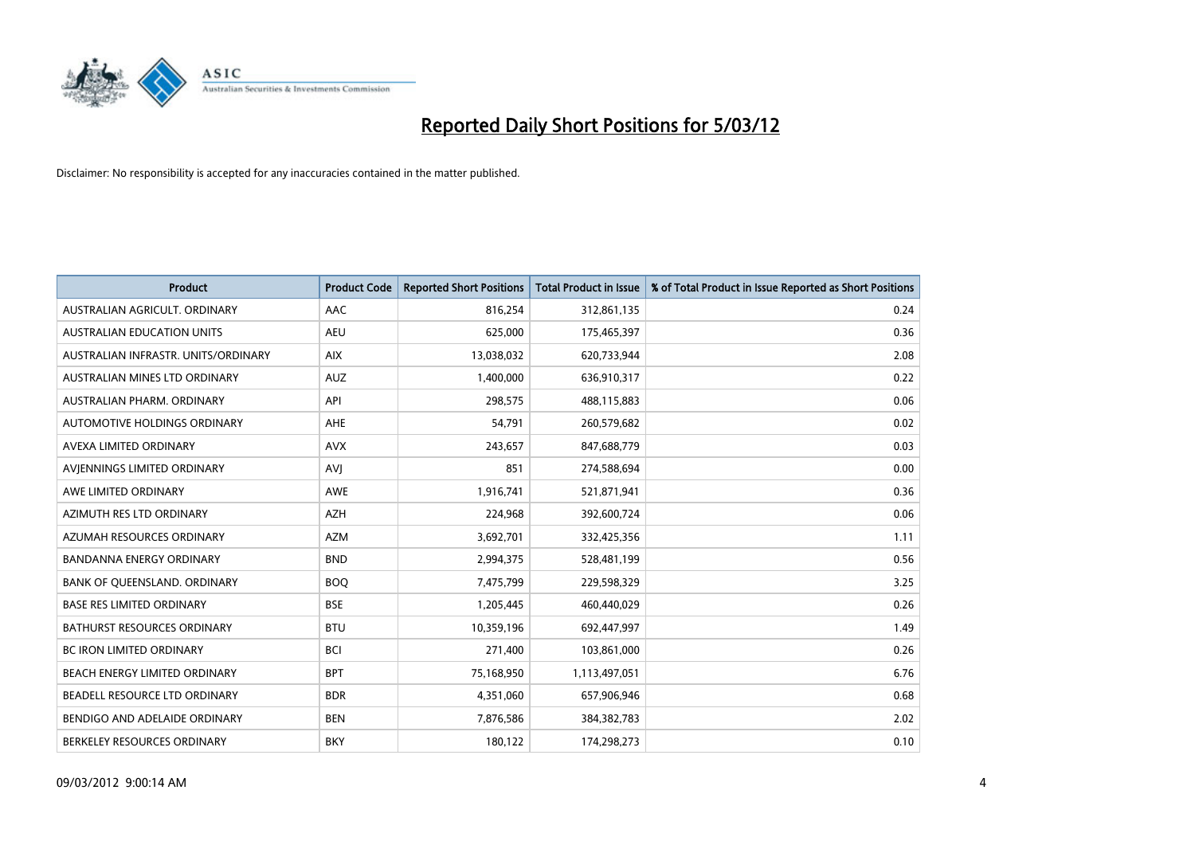

| <b>Product</b>                      | <b>Product Code</b> | <b>Reported Short Positions</b> | <b>Total Product in Issue</b> | % of Total Product in Issue Reported as Short Positions |
|-------------------------------------|---------------------|---------------------------------|-------------------------------|---------------------------------------------------------|
| AUSTRALIAN AGRICULT, ORDINARY       | AAC                 | 816,254                         | 312,861,135                   | 0.24                                                    |
| AUSTRALIAN EDUCATION UNITS          | <b>AEU</b>          | 625,000                         | 175,465,397                   | 0.36                                                    |
| AUSTRALIAN INFRASTR. UNITS/ORDINARY | <b>AIX</b>          | 13,038,032                      | 620,733,944                   | 2.08                                                    |
| AUSTRALIAN MINES LTD ORDINARY       | <b>AUZ</b>          | 1,400,000                       | 636,910,317                   | 0.22                                                    |
| AUSTRALIAN PHARM, ORDINARY          | API                 | 298,575                         | 488,115,883                   | 0.06                                                    |
| <b>AUTOMOTIVE HOLDINGS ORDINARY</b> | AHE                 | 54,791                          | 260,579,682                   | 0.02                                                    |
| AVEXA LIMITED ORDINARY              | <b>AVX</b>          | 243,657                         | 847,688,779                   | 0.03                                                    |
| AVIENNINGS LIMITED ORDINARY         | <b>AVJ</b>          | 851                             | 274,588,694                   | 0.00                                                    |
| AWE LIMITED ORDINARY                | <b>AWE</b>          | 1,916,741                       | 521,871,941                   | 0.36                                                    |
| AZIMUTH RES LTD ORDINARY            | <b>AZH</b>          | 224,968                         | 392,600,724                   | 0.06                                                    |
| AZUMAH RESOURCES ORDINARY           | <b>AZM</b>          | 3,692,701                       | 332,425,356                   | 1.11                                                    |
| BANDANNA ENERGY ORDINARY            | <b>BND</b>          | 2,994,375                       | 528,481,199                   | 0.56                                                    |
| BANK OF QUEENSLAND. ORDINARY        | <b>BOO</b>          | 7,475,799                       | 229,598,329                   | 3.25                                                    |
| <b>BASE RES LIMITED ORDINARY</b>    | <b>BSE</b>          | 1,205,445                       | 460,440,029                   | 0.26                                                    |
| <b>BATHURST RESOURCES ORDINARY</b>  | <b>BTU</b>          | 10,359,196                      | 692,447,997                   | 1.49                                                    |
| BC IRON LIMITED ORDINARY            | <b>BCI</b>          | 271,400                         | 103,861,000                   | 0.26                                                    |
| BEACH ENERGY LIMITED ORDINARY       | <b>BPT</b>          | 75,168,950                      | 1,113,497,051                 | 6.76                                                    |
| BEADELL RESOURCE LTD ORDINARY       | <b>BDR</b>          | 4,351,060                       | 657,906,946                   | 0.68                                                    |
| BENDIGO AND ADELAIDE ORDINARY       | <b>BEN</b>          | 7,876,586                       | 384, 382, 783                 | 2.02                                                    |
| BERKELEY RESOURCES ORDINARY         | <b>BKY</b>          | 180,122                         | 174,298,273                   | 0.10                                                    |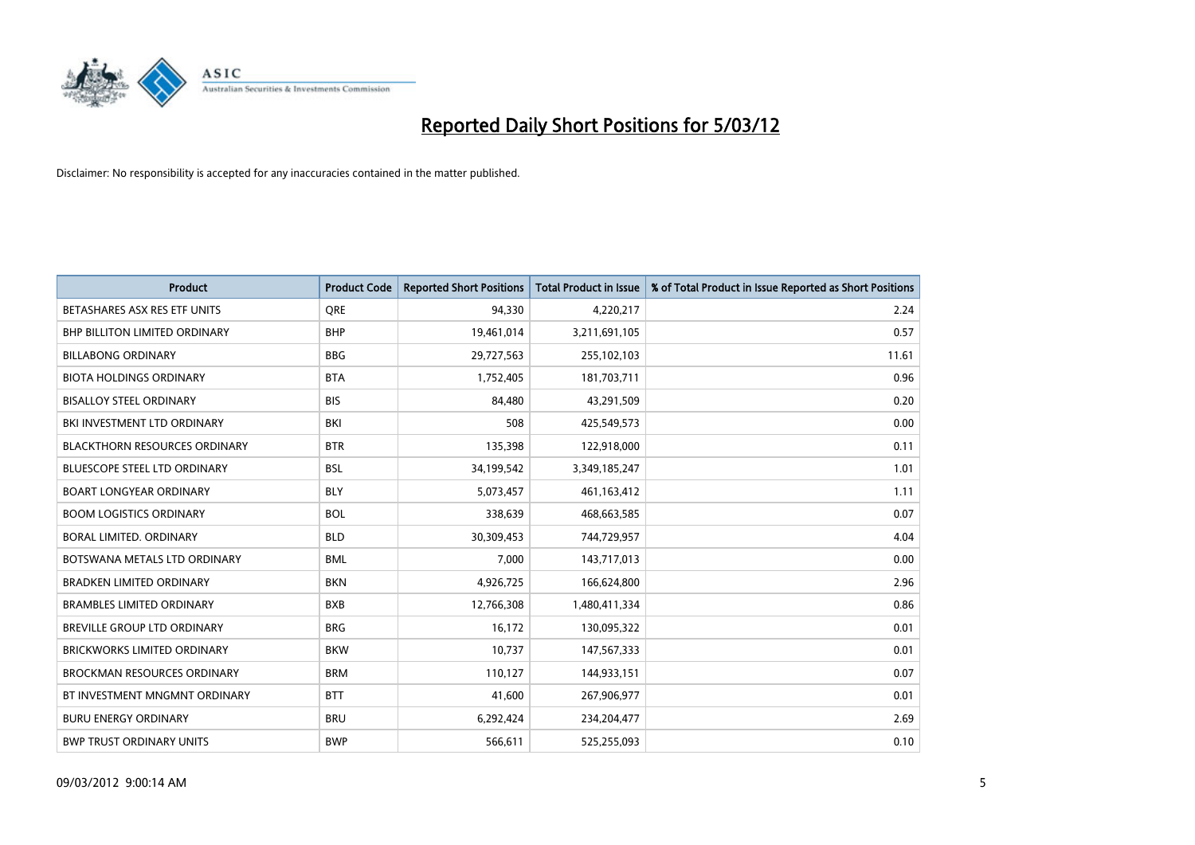

| <b>Product</b>                       | <b>Product Code</b> | <b>Reported Short Positions</b> | <b>Total Product in Issue</b> | % of Total Product in Issue Reported as Short Positions |
|--------------------------------------|---------------------|---------------------------------|-------------------------------|---------------------------------------------------------|
| BETASHARES ASX RES ETF UNITS         | <b>ORE</b>          | 94,330                          | 4,220,217                     | 2.24                                                    |
| <b>BHP BILLITON LIMITED ORDINARY</b> | <b>BHP</b>          | 19,461,014                      | 3,211,691,105                 | 0.57                                                    |
| <b>BILLABONG ORDINARY</b>            | <b>BBG</b>          | 29,727,563                      | 255,102,103                   | 11.61                                                   |
| <b>BIOTA HOLDINGS ORDINARY</b>       | <b>BTA</b>          | 1,752,405                       | 181,703,711                   | 0.96                                                    |
| <b>BISALLOY STEEL ORDINARY</b>       | <b>BIS</b>          | 84,480                          | 43,291,509                    | 0.20                                                    |
| BKI INVESTMENT LTD ORDINARY          | BKI                 | 508                             | 425,549,573                   | 0.00                                                    |
| <b>BLACKTHORN RESOURCES ORDINARY</b> | <b>BTR</b>          | 135,398                         | 122,918,000                   | 0.11                                                    |
| BLUESCOPE STEEL LTD ORDINARY         | <b>BSL</b>          | 34,199,542                      | 3,349,185,247                 | 1.01                                                    |
| <b>BOART LONGYEAR ORDINARY</b>       | <b>BLY</b>          | 5,073,457                       | 461,163,412                   | 1.11                                                    |
| <b>BOOM LOGISTICS ORDINARY</b>       | <b>BOL</b>          | 338,639                         | 468,663,585                   | 0.07                                                    |
| BORAL LIMITED. ORDINARY              | <b>BLD</b>          | 30,309,453                      | 744,729,957                   | 4.04                                                    |
| BOTSWANA METALS LTD ORDINARY         | <b>BML</b>          | 7,000                           | 143,717,013                   | 0.00                                                    |
| <b>BRADKEN LIMITED ORDINARY</b>      | <b>BKN</b>          | 4,926,725                       | 166,624,800                   | 2.96                                                    |
| <b>BRAMBLES LIMITED ORDINARY</b>     | <b>BXB</b>          | 12,766,308                      | 1,480,411,334                 | 0.86                                                    |
| BREVILLE GROUP LTD ORDINARY          | <b>BRG</b>          | 16,172                          | 130,095,322                   | 0.01                                                    |
| BRICKWORKS LIMITED ORDINARY          | <b>BKW</b>          | 10,737                          | 147,567,333                   | 0.01                                                    |
| <b>BROCKMAN RESOURCES ORDINARY</b>   | <b>BRM</b>          | 110,127                         | 144,933,151                   | 0.07                                                    |
| BT INVESTMENT MNGMNT ORDINARY        | <b>BTT</b>          | 41,600                          | 267,906,977                   | 0.01                                                    |
| <b>BURU ENERGY ORDINARY</b>          | <b>BRU</b>          | 6,292,424                       | 234,204,477                   | 2.69                                                    |
| <b>BWP TRUST ORDINARY UNITS</b>      | <b>BWP</b>          | 566,611                         | 525,255,093                   | 0.10                                                    |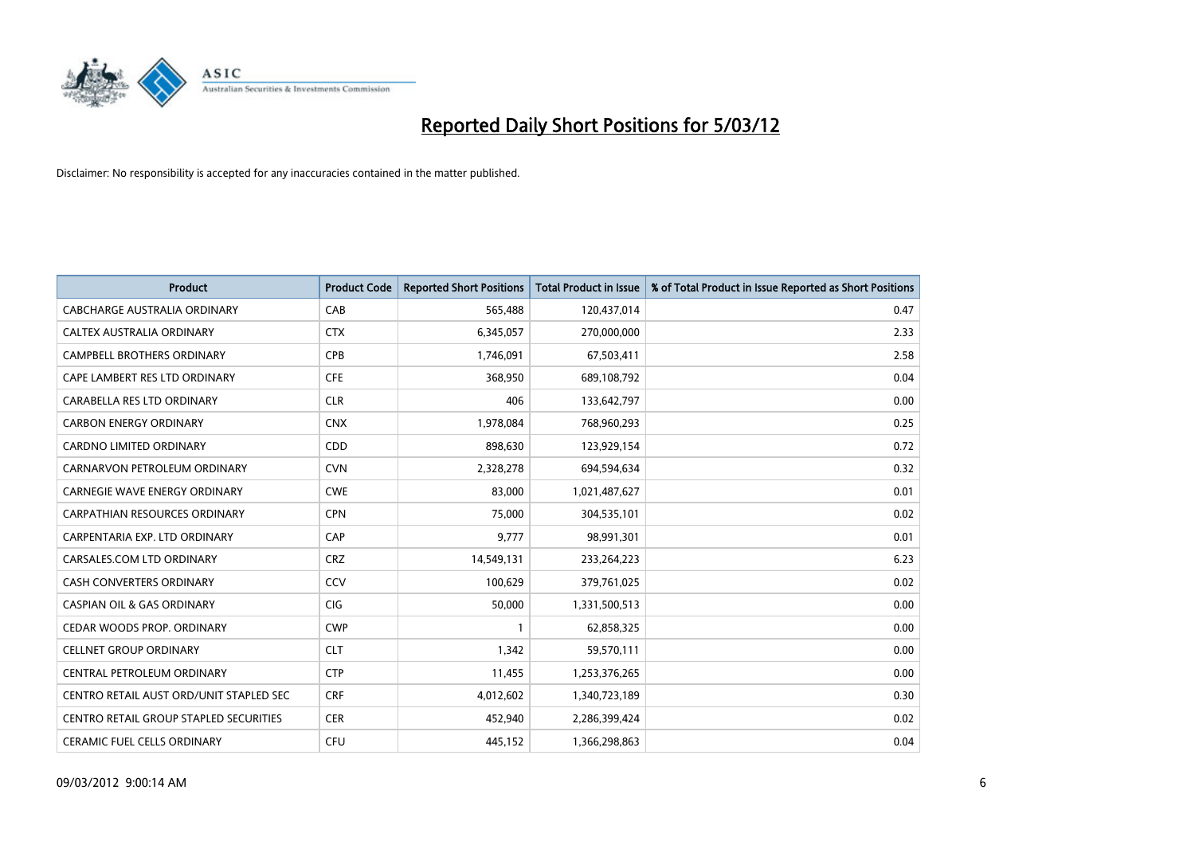

| <b>Product</b>                          | <b>Product Code</b> | <b>Reported Short Positions</b> | <b>Total Product in Issue</b> | % of Total Product in Issue Reported as Short Positions |
|-----------------------------------------|---------------------|---------------------------------|-------------------------------|---------------------------------------------------------|
| <b>CABCHARGE AUSTRALIA ORDINARY</b>     | CAB                 | 565,488                         | 120,437,014                   | 0.47                                                    |
| CALTEX AUSTRALIA ORDINARY               | <b>CTX</b>          | 6,345,057                       | 270,000,000                   | 2.33                                                    |
| <b>CAMPBELL BROTHERS ORDINARY</b>       | <b>CPB</b>          | 1,746,091                       | 67,503,411                    | 2.58                                                    |
| CAPE LAMBERT RES LTD ORDINARY           | <b>CFE</b>          | 368,950                         | 689,108,792                   | 0.04                                                    |
| CARABELLA RES LTD ORDINARY              | <b>CLR</b>          | 406                             | 133,642,797                   | 0.00                                                    |
| <b>CARBON ENERGY ORDINARY</b>           | <b>CNX</b>          | 1,978,084                       | 768,960,293                   | 0.25                                                    |
| <b>CARDNO LIMITED ORDINARY</b>          | CDD                 | 898,630                         | 123,929,154                   | 0.72                                                    |
| CARNARVON PETROLEUM ORDINARY            | <b>CVN</b>          | 2,328,278                       | 694,594,634                   | 0.32                                                    |
| CARNEGIE WAVE ENERGY ORDINARY           | <b>CWE</b>          | 83,000                          | 1,021,487,627                 | 0.01                                                    |
| CARPATHIAN RESOURCES ORDINARY           | <b>CPN</b>          | 75,000                          | 304,535,101                   | 0.02                                                    |
| CARPENTARIA EXP. LTD ORDINARY           | CAP                 | 9,777                           | 98,991,301                    | 0.01                                                    |
| CARSALES.COM LTD ORDINARY               | <b>CRZ</b>          | 14,549,131                      | 233,264,223                   | 6.23                                                    |
| <b>CASH CONVERTERS ORDINARY</b>         | CCV                 | 100.629                         | 379,761,025                   | 0.02                                                    |
| <b>CASPIAN OIL &amp; GAS ORDINARY</b>   | <b>CIG</b>          | 50.000                          | 1,331,500,513                 | 0.00                                                    |
| CEDAR WOODS PROP. ORDINARY              | <b>CWP</b>          | $\mathbf{1}$                    | 62,858,325                    | 0.00                                                    |
| <b>CELLNET GROUP ORDINARY</b>           | <b>CLT</b>          | 1,342                           | 59,570,111                    | 0.00                                                    |
| CENTRAL PETROLEUM ORDINARY              | <b>CTP</b>          | 11,455                          | 1,253,376,265                 | 0.00                                                    |
| CENTRO RETAIL AUST ORD/UNIT STAPLED SEC | <b>CRF</b>          | 4,012,602                       | 1,340,723,189                 | 0.30                                                    |
| CENTRO RETAIL GROUP STAPLED SECURITIES  | <b>CER</b>          | 452,940                         | 2,286,399,424                 | 0.02                                                    |
| <b>CERAMIC FUEL CELLS ORDINARY</b>      | <b>CFU</b>          | 445,152                         | 1,366,298,863                 | 0.04                                                    |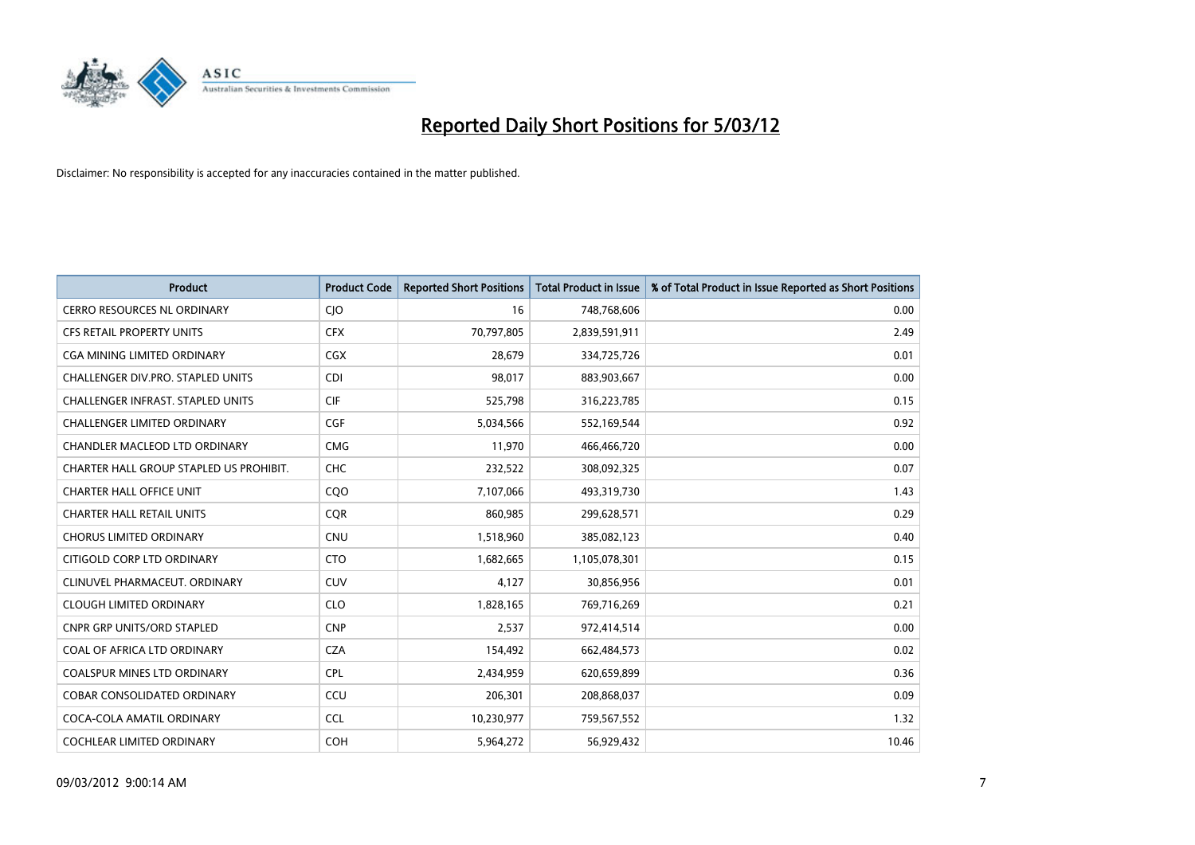

| <b>Product</b>                           | <b>Product Code</b> | <b>Reported Short Positions</b> | <b>Total Product in Issue</b> | % of Total Product in Issue Reported as Short Positions |
|------------------------------------------|---------------------|---------------------------------|-------------------------------|---------------------------------------------------------|
| <b>CERRO RESOURCES NL ORDINARY</b>       | CJO                 | 16                              | 748,768,606                   | 0.00                                                    |
| <b>CFS RETAIL PROPERTY UNITS</b>         | <b>CFX</b>          | 70,797,805                      | 2,839,591,911                 | 2.49                                                    |
| CGA MINING LIMITED ORDINARY              | CGX                 | 28,679                          | 334,725,726                   | 0.01                                                    |
| CHALLENGER DIV.PRO. STAPLED UNITS        | <b>CDI</b>          | 98,017                          | 883,903,667                   | 0.00                                                    |
| <b>CHALLENGER INFRAST, STAPLED UNITS</b> | <b>CIF</b>          | 525,798                         | 316,223,785                   | 0.15                                                    |
| <b>CHALLENGER LIMITED ORDINARY</b>       | <b>CGF</b>          | 5,034,566                       | 552,169,544                   | 0.92                                                    |
| CHANDLER MACLEOD LTD ORDINARY            | <b>CMG</b>          | 11,970                          | 466,466,720                   | 0.00                                                    |
| CHARTER HALL GROUP STAPLED US PROHIBIT.  | <b>CHC</b>          | 232,522                         | 308,092,325                   | 0.07                                                    |
| <b>CHARTER HALL OFFICE UNIT</b>          | CQ <sub>O</sub>     | 7,107,066                       | 493,319,730                   | 1.43                                                    |
| <b>CHARTER HALL RETAIL UNITS</b>         | <b>CQR</b>          | 860,985                         | 299,628,571                   | 0.29                                                    |
| CHORUS LIMITED ORDINARY                  | <b>CNU</b>          | 1,518,960                       | 385,082,123                   | 0.40                                                    |
| CITIGOLD CORP LTD ORDINARY               | <b>CTO</b>          | 1,682,665                       | 1,105,078,301                 | 0.15                                                    |
| CLINUVEL PHARMACEUT, ORDINARY            | <b>CUV</b>          | 4,127                           | 30,856,956                    | 0.01                                                    |
| <b>CLOUGH LIMITED ORDINARY</b>           | <b>CLO</b>          | 1,828,165                       | 769,716,269                   | 0.21                                                    |
| <b>CNPR GRP UNITS/ORD STAPLED</b>        | <b>CNP</b>          | 2,537                           | 972,414,514                   | 0.00                                                    |
| COAL OF AFRICA LTD ORDINARY              | <b>CZA</b>          | 154,492                         | 662,484,573                   | 0.02                                                    |
| COALSPUR MINES LTD ORDINARY              | <b>CPL</b>          | 2,434,959                       | 620,659,899                   | 0.36                                                    |
| <b>COBAR CONSOLIDATED ORDINARY</b>       | CCU                 | 206,301                         | 208,868,037                   | 0.09                                                    |
| COCA-COLA AMATIL ORDINARY                | <b>CCL</b>          | 10,230,977                      | 759,567,552                   | 1.32                                                    |
| <b>COCHLEAR LIMITED ORDINARY</b>         | <b>COH</b>          | 5,964,272                       | 56,929,432                    | 10.46                                                   |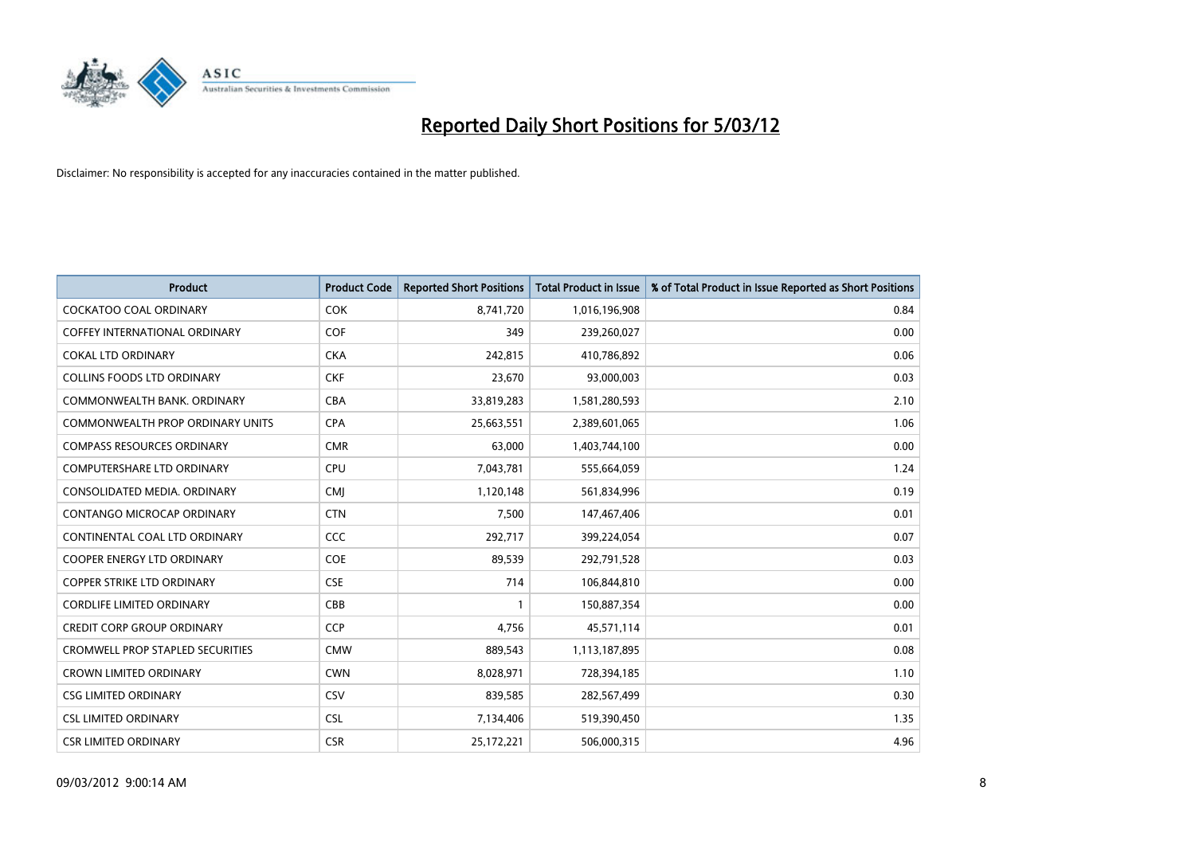

| <b>Product</b>                          | <b>Product Code</b> | <b>Reported Short Positions</b> | <b>Total Product in Issue</b> | % of Total Product in Issue Reported as Short Positions |
|-----------------------------------------|---------------------|---------------------------------|-------------------------------|---------------------------------------------------------|
| <b>COCKATOO COAL ORDINARY</b>           | <b>COK</b>          | 8,741,720                       | 1,016,196,908                 | 0.84                                                    |
| <b>COFFEY INTERNATIONAL ORDINARY</b>    | <b>COF</b>          | 349                             | 239,260,027                   | 0.00                                                    |
| <b>COKAL LTD ORDINARY</b>               | <b>CKA</b>          | 242,815                         | 410,786,892                   | 0.06                                                    |
| <b>COLLINS FOODS LTD ORDINARY</b>       | <b>CKF</b>          | 23,670                          | 93,000,003                    | 0.03                                                    |
| COMMONWEALTH BANK, ORDINARY             | <b>CBA</b>          | 33,819,283                      | 1,581,280,593                 | 2.10                                                    |
| <b>COMMONWEALTH PROP ORDINARY UNITS</b> | <b>CPA</b>          | 25,663,551                      | 2,389,601,065                 | 1.06                                                    |
| <b>COMPASS RESOURCES ORDINARY</b>       | <b>CMR</b>          | 63,000                          | 1,403,744,100                 | 0.00                                                    |
| <b>COMPUTERSHARE LTD ORDINARY</b>       | <b>CPU</b>          | 7,043,781                       | 555,664,059                   | 1.24                                                    |
| CONSOLIDATED MEDIA, ORDINARY            | <b>CMI</b>          | 1,120,148                       | 561,834,996                   | 0.19                                                    |
| CONTANGO MICROCAP ORDINARY              | <b>CTN</b>          | 7,500                           | 147,467,406                   | 0.01                                                    |
| CONTINENTAL COAL LTD ORDINARY           | <b>CCC</b>          | 292,717                         | 399,224,054                   | 0.07                                                    |
| <b>COOPER ENERGY LTD ORDINARY</b>       | <b>COE</b>          | 89,539                          | 292,791,528                   | 0.03                                                    |
| <b>COPPER STRIKE LTD ORDINARY</b>       | <b>CSE</b>          | 714                             | 106,844,810                   | 0.00                                                    |
| <b>CORDLIFE LIMITED ORDINARY</b>        | CBB                 | 1                               | 150,887,354                   | 0.00                                                    |
| <b>CREDIT CORP GROUP ORDINARY</b>       | CCP                 | 4,756                           | 45,571,114                    | 0.01                                                    |
| <b>CROMWELL PROP STAPLED SECURITIES</b> | <b>CMW</b>          | 889,543                         | 1,113,187,895                 | 0.08                                                    |
| <b>CROWN LIMITED ORDINARY</b>           | <b>CWN</b>          | 8,028,971                       | 728,394,185                   | 1.10                                                    |
| <b>CSG LIMITED ORDINARY</b>             | CSV                 | 839,585                         | 282,567,499                   | 0.30                                                    |
| <b>CSL LIMITED ORDINARY</b>             | <b>CSL</b>          | 7,134,406                       | 519,390,450                   | 1.35                                                    |
| <b>CSR LIMITED ORDINARY</b>             | <b>CSR</b>          | 25,172,221                      | 506,000,315                   | 4.96                                                    |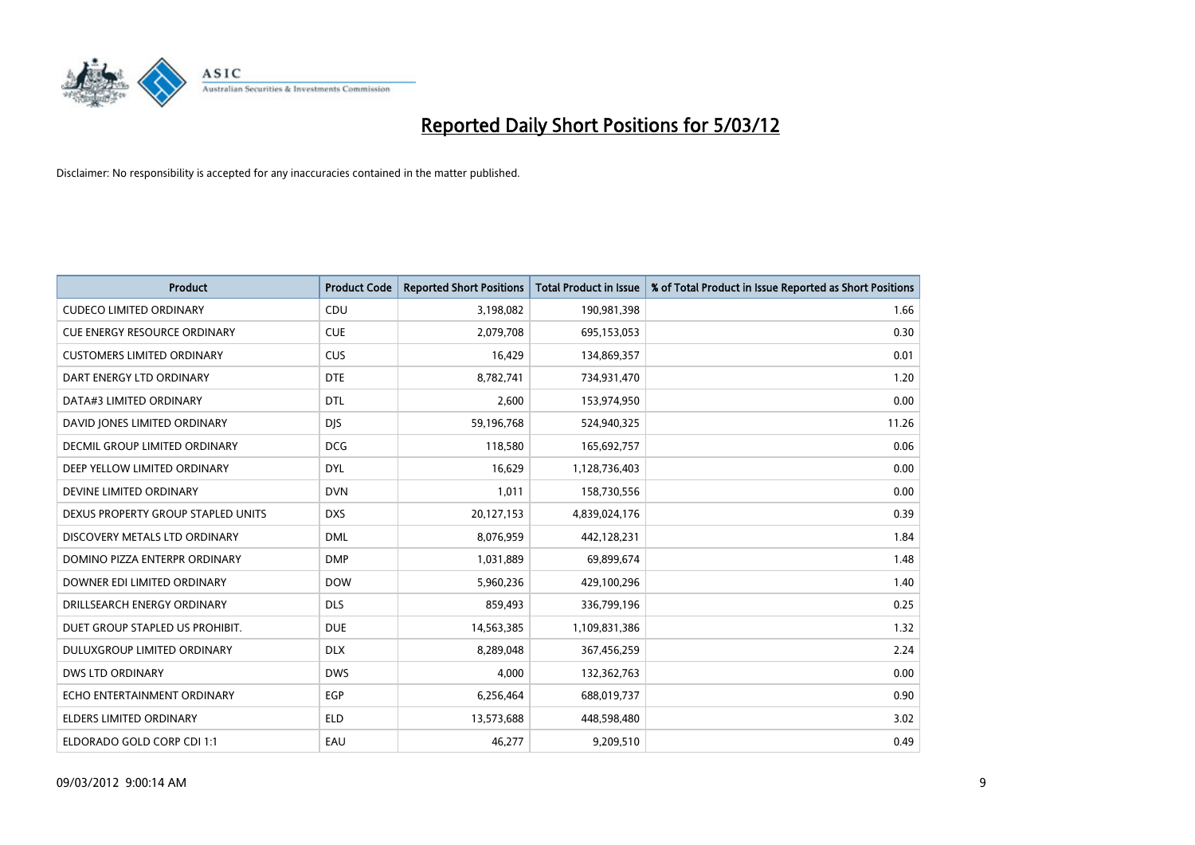

| <b>Product</b>                       | <b>Product Code</b> | <b>Reported Short Positions</b> | <b>Total Product in Issue</b> | % of Total Product in Issue Reported as Short Positions |
|--------------------------------------|---------------------|---------------------------------|-------------------------------|---------------------------------------------------------|
| <b>CUDECO LIMITED ORDINARY</b>       | CDU                 | 3,198,082                       | 190,981,398                   | 1.66                                                    |
| <b>CUE ENERGY RESOURCE ORDINARY</b>  | <b>CUE</b>          | 2,079,708                       | 695,153,053                   | 0.30                                                    |
| <b>CUSTOMERS LIMITED ORDINARY</b>    | <b>CUS</b>          | 16,429                          | 134,869,357                   | 0.01                                                    |
| DART ENERGY LTD ORDINARY             | <b>DTE</b>          | 8,782,741                       | 734,931,470                   | 1.20                                                    |
| DATA#3 LIMITED ORDINARY              | <b>DTL</b>          | 2,600                           | 153,974,950                   | 0.00                                                    |
| DAVID JONES LIMITED ORDINARY         | <b>DJS</b>          | 59,196,768                      | 524,940,325                   | 11.26                                                   |
| <b>DECMIL GROUP LIMITED ORDINARY</b> | <b>DCG</b>          | 118,580                         | 165,692,757                   | 0.06                                                    |
| DEEP YELLOW LIMITED ORDINARY         | <b>DYL</b>          | 16,629                          | 1,128,736,403                 | 0.00                                                    |
| DEVINE LIMITED ORDINARY              | <b>DVN</b>          | 1,011                           | 158,730,556                   | 0.00                                                    |
| DEXUS PROPERTY GROUP STAPLED UNITS   | <b>DXS</b>          | 20,127,153                      | 4,839,024,176                 | 0.39                                                    |
| DISCOVERY METALS LTD ORDINARY        | <b>DML</b>          | 8,076,959                       | 442,128,231                   | 1.84                                                    |
| DOMINO PIZZA ENTERPR ORDINARY        | <b>DMP</b>          | 1,031,889                       | 69,899,674                    | 1.48                                                    |
| DOWNER EDI LIMITED ORDINARY          | <b>DOW</b>          | 5,960,236                       | 429,100,296                   | 1.40                                                    |
| DRILLSEARCH ENERGY ORDINARY          | <b>DLS</b>          | 859,493                         | 336,799,196                   | 0.25                                                    |
| DUET GROUP STAPLED US PROHIBIT.      | <b>DUE</b>          | 14,563,385                      | 1,109,831,386                 | 1.32                                                    |
| DULUXGROUP LIMITED ORDINARY          | <b>DLX</b>          | 8,289,048                       | 367,456,259                   | 2.24                                                    |
| <b>DWS LTD ORDINARY</b>              | <b>DWS</b>          | 4,000                           | 132,362,763                   | 0.00                                                    |
| ECHO ENTERTAINMENT ORDINARY          | <b>EGP</b>          | 6,256,464                       | 688,019,737                   | 0.90                                                    |
| <b>ELDERS LIMITED ORDINARY</b>       | <b>ELD</b>          | 13,573,688                      | 448,598,480                   | 3.02                                                    |
| ELDORADO GOLD CORP CDI 1:1           | EAU                 | 46,277                          | 9,209,510                     | 0.49                                                    |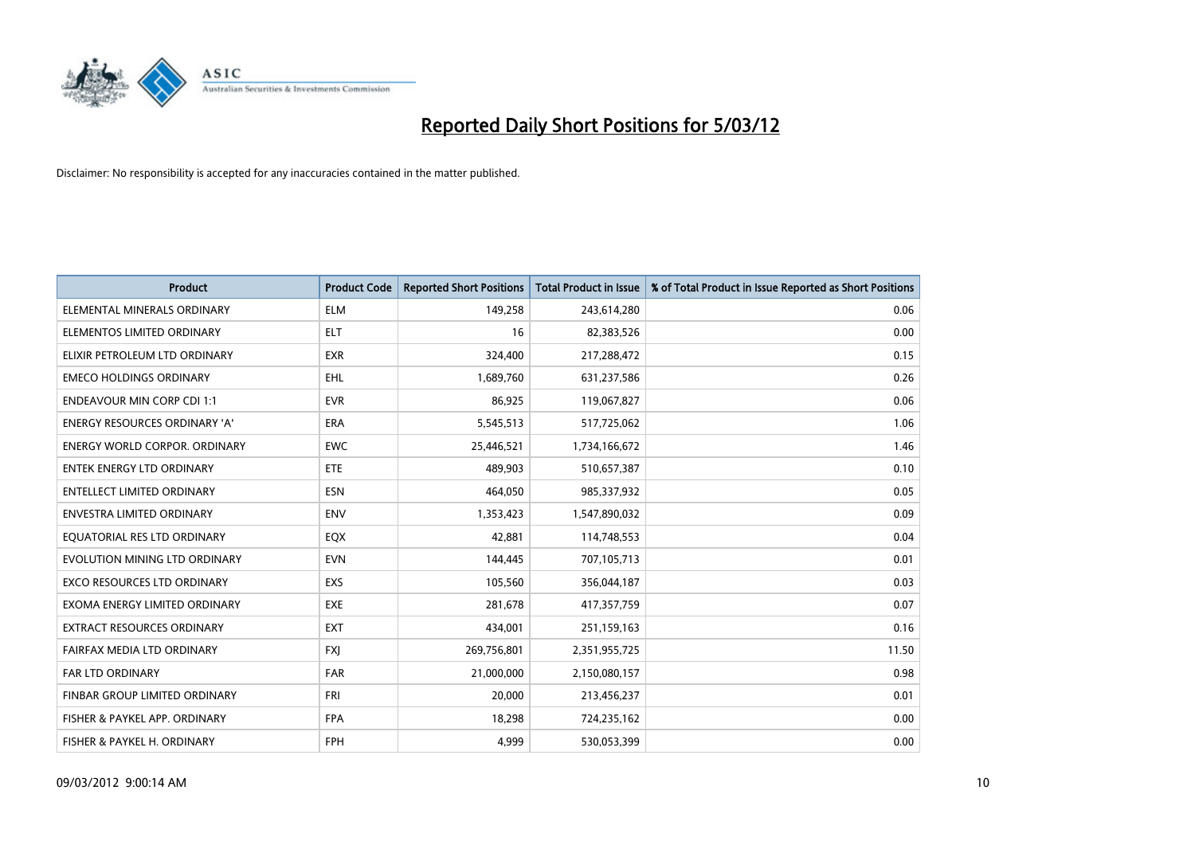

| <b>Product</b>                     | <b>Product Code</b> | <b>Reported Short Positions</b> | <b>Total Product in Issue</b> | % of Total Product in Issue Reported as Short Positions |
|------------------------------------|---------------------|---------------------------------|-------------------------------|---------------------------------------------------------|
| ELEMENTAL MINERALS ORDINARY        | <b>ELM</b>          | 149,258                         | 243,614,280                   | 0.06                                                    |
| ELEMENTOS LIMITED ORDINARY         | <b>ELT</b>          | 16                              | 82,383,526                    | 0.00                                                    |
| ELIXIR PETROLEUM LTD ORDINARY      | <b>EXR</b>          | 324,400                         | 217,288,472                   | 0.15                                                    |
| <b>EMECO HOLDINGS ORDINARY</b>     | <b>EHL</b>          | 1,689,760                       | 631,237,586                   | 0.26                                                    |
| <b>ENDEAVOUR MIN CORP CDI 1:1</b>  | <b>EVR</b>          | 86,925                          | 119,067,827                   | 0.06                                                    |
| ENERGY RESOURCES ORDINARY 'A'      | <b>ERA</b>          | 5,545,513                       | 517,725,062                   | 1.06                                                    |
| ENERGY WORLD CORPOR. ORDINARY      | <b>EWC</b>          | 25,446,521                      | 1,734,166,672                 | 1.46                                                    |
| ENTEK ENERGY LTD ORDINARY          | ETE                 | 489,903                         | 510,657,387                   | 0.10                                                    |
| <b>ENTELLECT LIMITED ORDINARY</b>  | <b>ESN</b>          | 464,050                         | 985,337,932                   | 0.05                                                    |
| <b>ENVESTRA LIMITED ORDINARY</b>   | <b>ENV</b>          | 1,353,423                       | 1,547,890,032                 | 0.09                                                    |
| EQUATORIAL RES LTD ORDINARY        | EQX                 | 42,881                          | 114,748,553                   | 0.04                                                    |
| EVOLUTION MINING LTD ORDINARY      | <b>EVN</b>          | 144,445                         | 707,105,713                   | 0.01                                                    |
| <b>EXCO RESOURCES LTD ORDINARY</b> | <b>EXS</b>          | 105,560                         | 356,044,187                   | 0.03                                                    |
| EXOMA ENERGY LIMITED ORDINARY      | <b>EXE</b>          | 281,678                         | 417,357,759                   | 0.07                                                    |
| <b>EXTRACT RESOURCES ORDINARY</b>  | <b>EXT</b>          | 434,001                         | 251,159,163                   | 0.16                                                    |
| FAIRFAX MEDIA LTD ORDINARY         | <b>FXI</b>          | 269,756,801                     | 2,351,955,725                 | 11.50                                                   |
| FAR LTD ORDINARY                   | <b>FAR</b>          | 21,000,000                      | 2,150,080,157                 | 0.98                                                    |
| FINBAR GROUP LIMITED ORDINARY      | <b>FRI</b>          | 20,000                          | 213,456,237                   | 0.01                                                    |
| FISHER & PAYKEL APP. ORDINARY      | <b>FPA</b>          | 18,298                          | 724,235,162                   | 0.00                                                    |
| FISHER & PAYKEL H. ORDINARY        | <b>FPH</b>          | 4,999                           | 530,053,399                   | 0.00                                                    |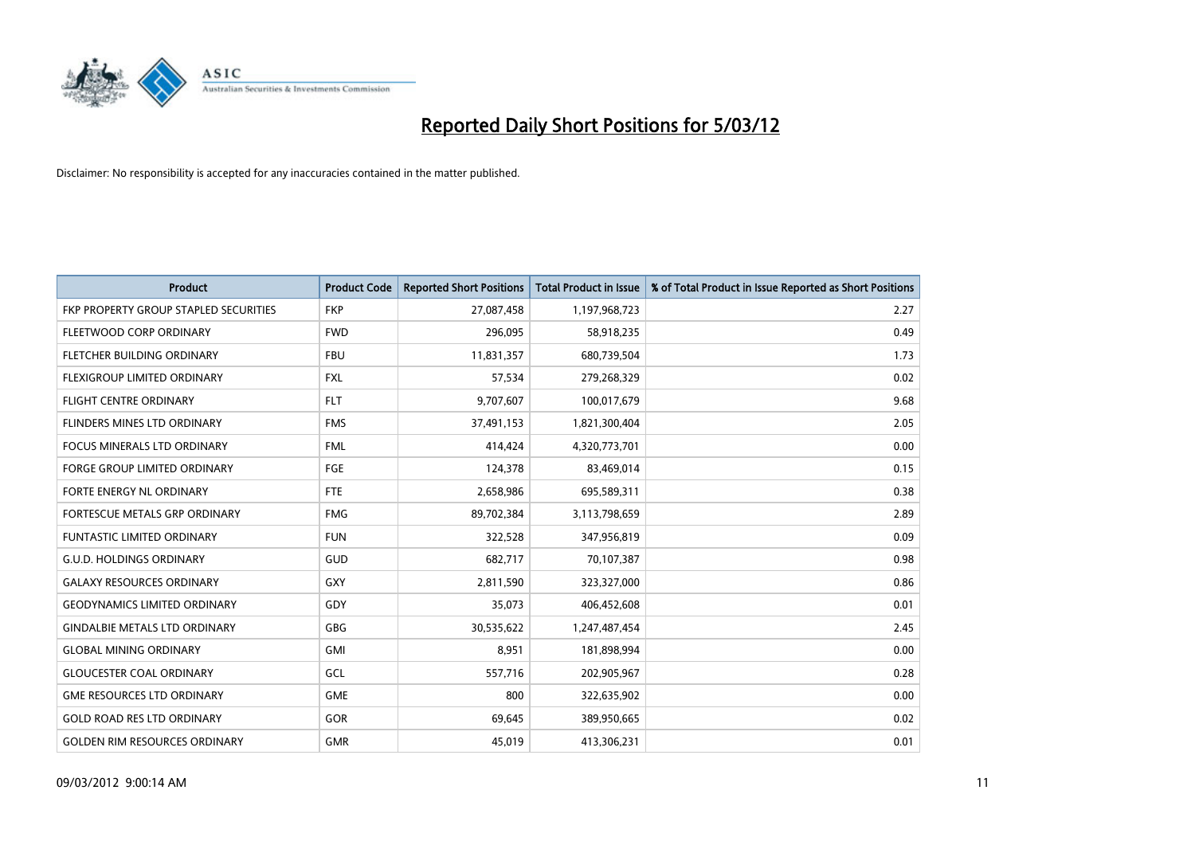

| <b>Product</b>                        | <b>Product Code</b> | <b>Reported Short Positions</b> | <b>Total Product in Issue</b> | % of Total Product in Issue Reported as Short Positions |
|---------------------------------------|---------------------|---------------------------------|-------------------------------|---------------------------------------------------------|
| FKP PROPERTY GROUP STAPLED SECURITIES | <b>FKP</b>          | 27,087,458                      | 1,197,968,723                 | 2.27                                                    |
| FLEETWOOD CORP ORDINARY               | <b>FWD</b>          | 296,095                         | 58,918,235                    | 0.49                                                    |
| FLETCHER BUILDING ORDINARY            | <b>FBU</b>          | 11,831,357                      | 680,739,504                   | 1.73                                                    |
| FLEXIGROUP LIMITED ORDINARY           | <b>FXL</b>          | 57,534                          | 279,268,329                   | 0.02                                                    |
| <b>FLIGHT CENTRE ORDINARY</b>         | <b>FLT</b>          | 9,707,607                       | 100,017,679                   | 9.68                                                    |
| FLINDERS MINES LTD ORDINARY           | <b>FMS</b>          | 37,491,153                      | 1,821,300,404                 | 2.05                                                    |
| <b>FOCUS MINERALS LTD ORDINARY</b>    | <b>FML</b>          | 414,424                         | 4,320,773,701                 | 0.00                                                    |
| <b>FORGE GROUP LIMITED ORDINARY</b>   | FGE                 | 124,378                         | 83,469,014                    | 0.15                                                    |
| FORTE ENERGY NL ORDINARY              | FTE                 | 2,658,986                       | 695,589,311                   | 0.38                                                    |
| FORTESCUE METALS GRP ORDINARY         | <b>FMG</b>          | 89,702,384                      | 3,113,798,659                 | 2.89                                                    |
| FUNTASTIC LIMITED ORDINARY            | <b>FUN</b>          | 322,528                         | 347,956,819                   | 0.09                                                    |
| <b>G.U.D. HOLDINGS ORDINARY</b>       | <b>GUD</b>          | 682,717                         | 70,107,387                    | 0.98                                                    |
| <b>GALAXY RESOURCES ORDINARY</b>      | GXY                 | 2,811,590                       | 323,327,000                   | 0.86                                                    |
| <b>GEODYNAMICS LIMITED ORDINARY</b>   | GDY                 | 35,073                          | 406,452,608                   | 0.01                                                    |
| <b>GINDALBIE METALS LTD ORDINARY</b>  | GBG                 | 30,535,622                      | 1,247,487,454                 | 2.45                                                    |
| <b>GLOBAL MINING ORDINARY</b>         | GMI                 | 8,951                           | 181,898,994                   | 0.00                                                    |
| <b>GLOUCESTER COAL ORDINARY</b>       | GCL                 | 557,716                         | 202,905,967                   | 0.28                                                    |
| <b>GME RESOURCES LTD ORDINARY</b>     | <b>GME</b>          | 800                             | 322,635,902                   | 0.00                                                    |
| <b>GOLD ROAD RES LTD ORDINARY</b>     | GOR                 | 69,645                          | 389,950,665                   | 0.02                                                    |
| <b>GOLDEN RIM RESOURCES ORDINARY</b>  | <b>GMR</b>          | 45,019                          | 413,306,231                   | 0.01                                                    |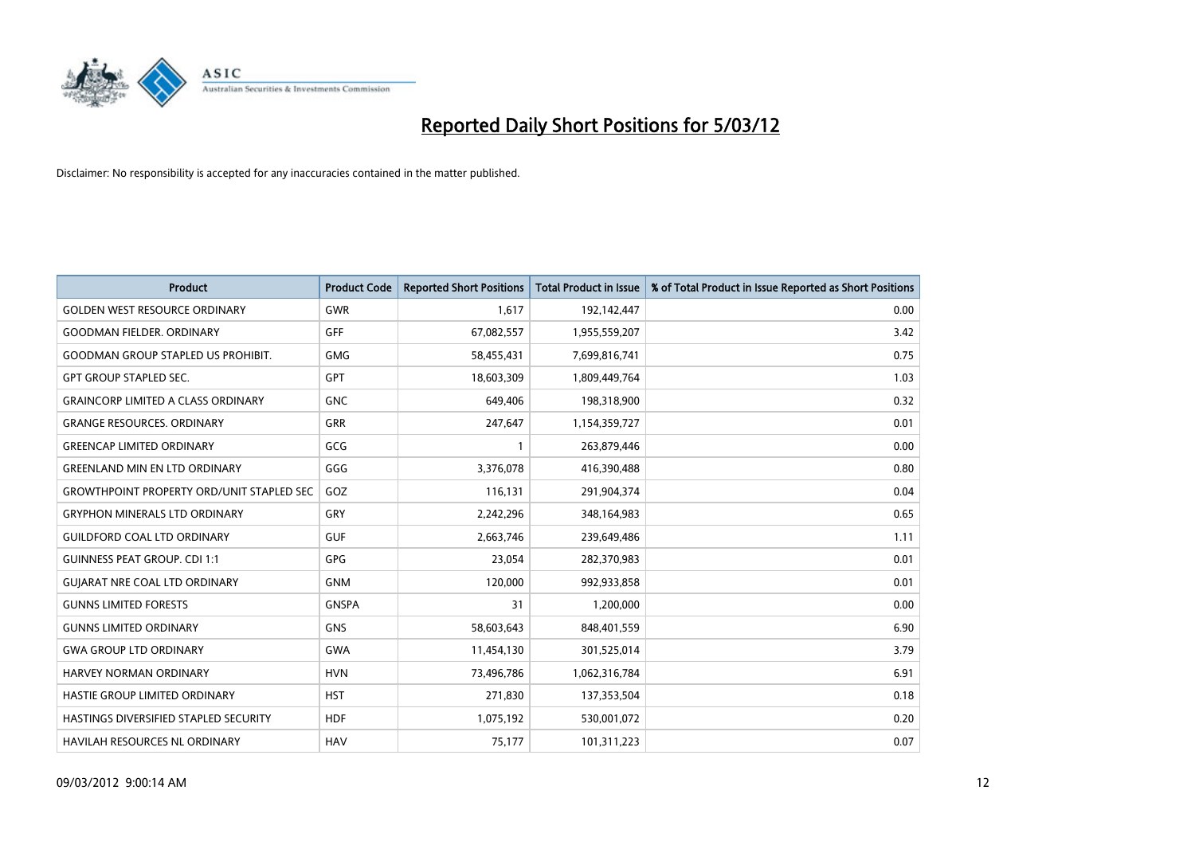

| <b>Product</b>                                   | <b>Product Code</b> | <b>Reported Short Positions</b> | <b>Total Product in Issue</b> | % of Total Product in Issue Reported as Short Positions |
|--------------------------------------------------|---------------------|---------------------------------|-------------------------------|---------------------------------------------------------|
| <b>GOLDEN WEST RESOURCE ORDINARY</b>             | <b>GWR</b>          | 1,617                           | 192,142,447                   | 0.00                                                    |
| <b>GOODMAN FIELDER, ORDINARY</b>                 | GFF                 | 67,082,557                      | 1,955,559,207                 | 3.42                                                    |
| <b>GOODMAN GROUP STAPLED US PROHIBIT.</b>        | <b>GMG</b>          | 58,455,431                      | 7,699,816,741                 | 0.75                                                    |
| <b>GPT GROUP STAPLED SEC.</b>                    | GPT                 | 18,603,309                      | 1,809,449,764                 | 1.03                                                    |
| <b>GRAINCORP LIMITED A CLASS ORDINARY</b>        | <b>GNC</b>          | 649,406                         | 198,318,900                   | 0.32                                                    |
| <b>GRANGE RESOURCES. ORDINARY</b>                | GRR                 | 247,647                         | 1,154,359,727                 | 0.01                                                    |
| <b>GREENCAP LIMITED ORDINARY</b>                 | GCG                 | 1                               | 263,879,446                   | 0.00                                                    |
| <b>GREENLAND MIN EN LTD ORDINARY</b>             | GGG                 | 3,376,078                       | 416,390,488                   | 0.80                                                    |
| <b>GROWTHPOINT PROPERTY ORD/UNIT STAPLED SEC</b> | GOZ                 | 116,131                         | 291,904,374                   | 0.04                                                    |
| <b>GRYPHON MINERALS LTD ORDINARY</b>             | GRY                 | 2,242,296                       | 348,164,983                   | 0.65                                                    |
| <b>GUILDFORD COAL LTD ORDINARY</b>               | <b>GUF</b>          | 2,663,746                       | 239,649,486                   | 1.11                                                    |
| <b>GUINNESS PEAT GROUP. CDI 1:1</b>              | <b>GPG</b>          | 23,054                          | 282,370,983                   | 0.01                                                    |
| <b>GUIARAT NRE COAL LTD ORDINARY</b>             | <b>GNM</b>          | 120,000                         | 992,933,858                   | 0.01                                                    |
| <b>GUNNS LIMITED FORESTS</b>                     | <b>GNSPA</b>        | 31                              | 1,200,000                     | 0.00                                                    |
| <b>GUNNS LIMITED ORDINARY</b>                    | <b>GNS</b>          | 58,603,643                      | 848,401,559                   | 6.90                                                    |
| <b>GWA GROUP LTD ORDINARY</b>                    | <b>GWA</b>          | 11,454,130                      | 301,525,014                   | 3.79                                                    |
| <b>HARVEY NORMAN ORDINARY</b>                    | <b>HVN</b>          | 73,496,786                      | 1,062,316,784                 | 6.91                                                    |
| HASTIE GROUP LIMITED ORDINARY                    | <b>HST</b>          | 271,830                         | 137,353,504                   | 0.18                                                    |
| HASTINGS DIVERSIFIED STAPLED SECURITY            | <b>HDF</b>          | 1,075,192                       | 530,001,072                   | 0.20                                                    |
| <b>HAVILAH RESOURCES NL ORDINARY</b>             | <b>HAV</b>          | 75,177                          | 101,311,223                   | 0.07                                                    |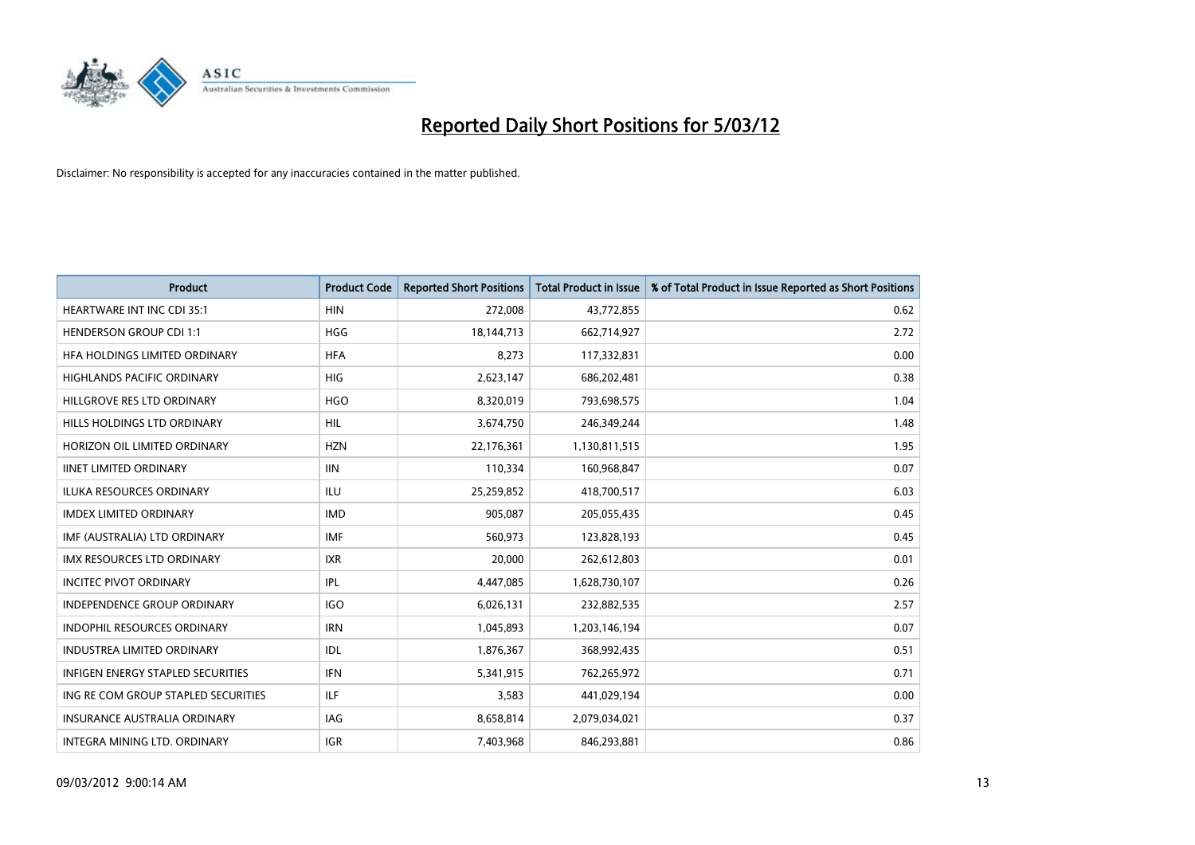

| <b>Product</b>                      | <b>Product Code</b> | <b>Reported Short Positions</b> | <b>Total Product in Issue</b> | % of Total Product in Issue Reported as Short Positions |
|-------------------------------------|---------------------|---------------------------------|-------------------------------|---------------------------------------------------------|
| <b>HEARTWARE INT INC CDI 35:1</b>   | <b>HIN</b>          | 272,008                         | 43,772,855                    | 0.62                                                    |
| <b>HENDERSON GROUP CDI 1:1</b>      | <b>HGG</b>          | 18,144,713                      | 662,714,927                   | 2.72                                                    |
| HFA HOLDINGS LIMITED ORDINARY       | <b>HFA</b>          | 8,273                           | 117,332,831                   | 0.00                                                    |
| <b>HIGHLANDS PACIFIC ORDINARY</b>   | <b>HIG</b>          | 2,623,147                       | 686,202,481                   | 0.38                                                    |
| HILLGROVE RES LTD ORDINARY          | <b>HGO</b>          | 8,320,019                       | 793,698,575                   | 1.04                                                    |
| HILLS HOLDINGS LTD ORDINARY         | <b>HIL</b>          | 3,674,750                       | 246,349,244                   | 1.48                                                    |
| HORIZON OIL LIMITED ORDINARY        | <b>HZN</b>          | 22,176,361                      | 1,130,811,515                 | 1.95                                                    |
| <b>IINET LIMITED ORDINARY</b>       | <b>IIN</b>          | 110,334                         | 160,968,847                   | 0.07                                                    |
| <b>ILUKA RESOURCES ORDINARY</b>     | ILU                 | 25,259,852                      | 418,700,517                   | 6.03                                                    |
| <b>IMDEX LIMITED ORDINARY</b>       | <b>IMD</b>          | 905,087                         | 205,055,435                   | 0.45                                                    |
| IMF (AUSTRALIA) LTD ORDINARY        | <b>IMF</b>          | 560,973                         | 123,828,193                   | 0.45                                                    |
| IMX RESOURCES LTD ORDINARY          | <b>IXR</b>          | 20,000                          | 262,612,803                   | 0.01                                                    |
| <b>INCITEC PIVOT ORDINARY</b>       | IPL                 | 4,447,085                       | 1,628,730,107                 | 0.26                                                    |
| <b>INDEPENDENCE GROUP ORDINARY</b>  | <b>IGO</b>          | 6,026,131                       | 232,882,535                   | 2.57                                                    |
| <b>INDOPHIL RESOURCES ORDINARY</b>  | <b>IRN</b>          | 1,045,893                       | 1,203,146,194                 | 0.07                                                    |
| <b>INDUSTREA LIMITED ORDINARY</b>   | IDL                 | 1,876,367                       | 368,992,435                   | 0.51                                                    |
| INFIGEN ENERGY STAPLED SECURITIES   | <b>IFN</b>          | 5,341,915                       | 762,265,972                   | 0.71                                                    |
| ING RE COM GROUP STAPLED SECURITIES | ILF.                | 3,583                           | 441,029,194                   | 0.00                                                    |
| <b>INSURANCE AUSTRALIA ORDINARY</b> | IAG                 | 8,658,814                       | 2,079,034,021                 | 0.37                                                    |
| INTEGRA MINING LTD, ORDINARY        | <b>IGR</b>          | 7,403,968                       | 846,293,881                   | 0.86                                                    |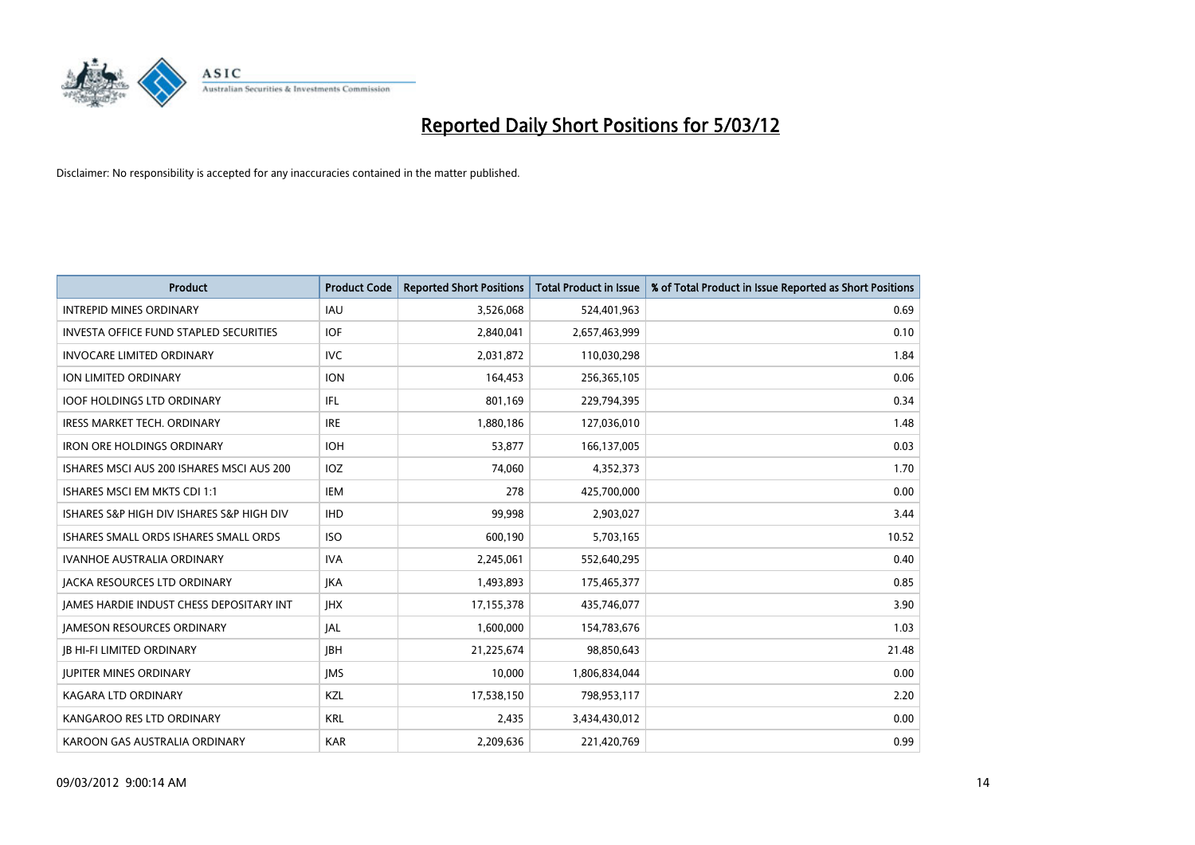

| <b>Product</b>                            | <b>Product Code</b> | <b>Reported Short Positions</b> | <b>Total Product in Issue</b> | % of Total Product in Issue Reported as Short Positions |
|-------------------------------------------|---------------------|---------------------------------|-------------------------------|---------------------------------------------------------|
| <b>INTREPID MINES ORDINARY</b>            | <b>IAU</b>          | 3,526,068                       | 524,401,963                   | 0.69                                                    |
| INVESTA OFFICE FUND STAPLED SECURITIES    | <b>IOF</b>          | 2,840,041                       | 2,657,463,999                 | 0.10                                                    |
| <b>INVOCARE LIMITED ORDINARY</b>          | <b>IVC</b>          | 2,031,872                       | 110,030,298                   | 1.84                                                    |
| <b>ION LIMITED ORDINARY</b>               | <b>ION</b>          | 164,453                         | 256,365,105                   | 0.06                                                    |
| <b>IOOF HOLDINGS LTD ORDINARY</b>         | IFL                 | 801,169                         | 229,794,395                   | 0.34                                                    |
| <b>IRESS MARKET TECH. ORDINARY</b>        | <b>IRE</b>          | 1,880,186                       | 127,036,010                   | 1.48                                                    |
| <b>IRON ORE HOLDINGS ORDINARY</b>         | <b>IOH</b>          | 53,877                          | 166,137,005                   | 0.03                                                    |
| ISHARES MSCI AUS 200 ISHARES MSCI AUS 200 | IOZ                 | 74,060                          | 4,352,373                     | 1.70                                                    |
| ISHARES MSCI EM MKTS CDI 1:1              | IEM                 | 278                             | 425,700,000                   | 0.00                                                    |
| ISHARES S&P HIGH DIV ISHARES S&P HIGH DIV | <b>IHD</b>          | 99,998                          | 2,903,027                     | 3.44                                                    |
| ISHARES SMALL ORDS ISHARES SMALL ORDS     | <b>ISO</b>          | 600,190                         | 5,703,165                     | 10.52                                                   |
| <b>IVANHOE AUSTRALIA ORDINARY</b>         | <b>IVA</b>          | 2,245,061                       | 552,640,295                   | 0.40                                                    |
| <b>JACKA RESOURCES LTD ORDINARY</b>       | <b>JKA</b>          | 1,493,893                       | 175,465,377                   | 0.85                                                    |
| JAMES HARDIE INDUST CHESS DEPOSITARY INT  | <b>JHX</b>          | 17,155,378                      | 435,746,077                   | 3.90                                                    |
| <b>JAMESON RESOURCES ORDINARY</b>         | <b>JAL</b>          | 1,600,000                       | 154,783,676                   | 1.03                                                    |
| <b>JB HI-FI LIMITED ORDINARY</b>          | <b>IBH</b>          | 21,225,674                      | 98,850,643                    | 21.48                                                   |
| <b>JUPITER MINES ORDINARY</b>             | <b>IMS</b>          | 10,000                          | 1,806,834,044                 | 0.00                                                    |
| <b>KAGARA LTD ORDINARY</b>                | KZL                 | 17,538,150                      | 798,953,117                   | 2.20                                                    |
| KANGAROO RES LTD ORDINARY                 | <b>KRL</b>          | 2,435                           | 3,434,430,012                 | 0.00                                                    |
| KAROON GAS AUSTRALIA ORDINARY             | <b>KAR</b>          | 2,209,636                       | 221,420,769                   | 0.99                                                    |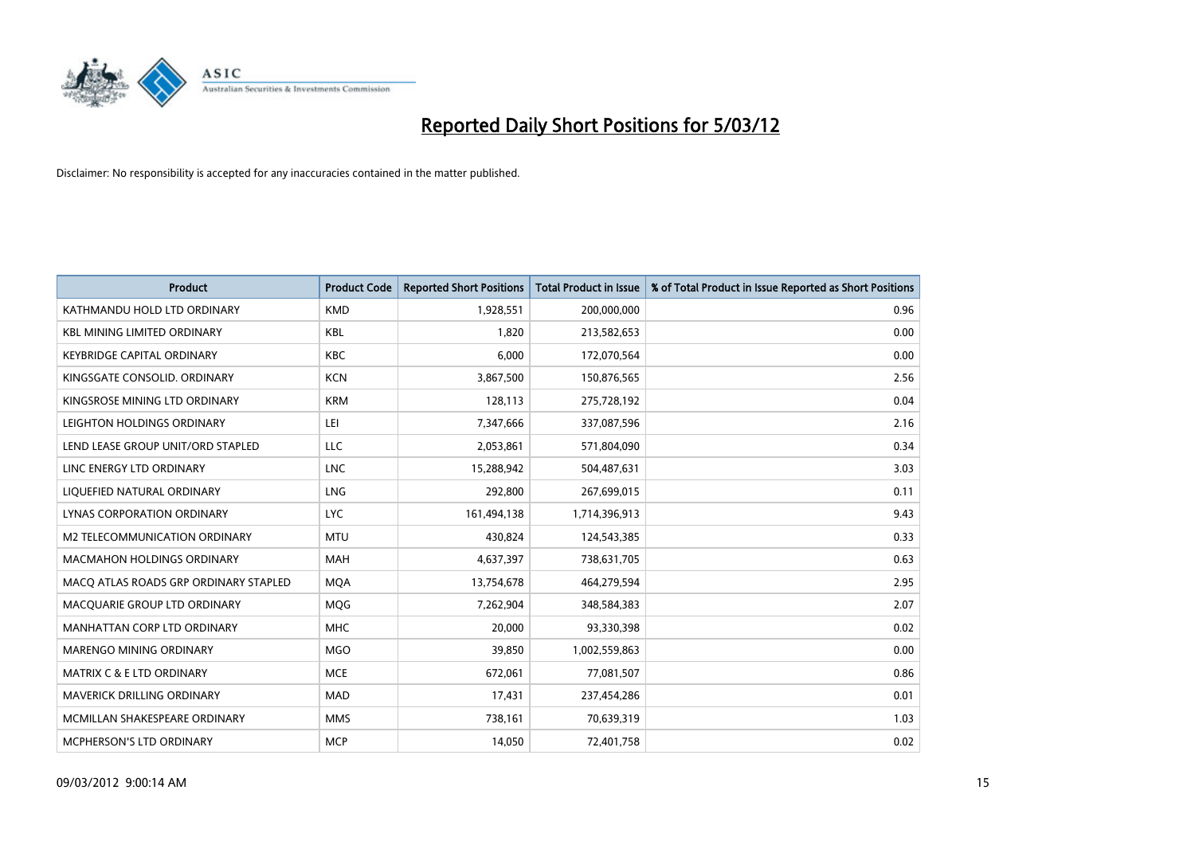

| <b>Product</b>                        | <b>Product Code</b> | <b>Reported Short Positions</b> | <b>Total Product in Issue</b> | % of Total Product in Issue Reported as Short Positions |
|---------------------------------------|---------------------|---------------------------------|-------------------------------|---------------------------------------------------------|
| KATHMANDU HOLD LTD ORDINARY           | <b>KMD</b>          | 1,928,551                       | 200,000,000                   | 0.96                                                    |
| <b>KBL MINING LIMITED ORDINARY</b>    | <b>KBL</b>          | 1,820                           | 213,582,653                   | 0.00                                                    |
| <b>KEYBRIDGE CAPITAL ORDINARY</b>     | <b>KBC</b>          | 6,000                           | 172,070,564                   | 0.00                                                    |
| KINGSGATE CONSOLID. ORDINARY          | <b>KCN</b>          | 3,867,500                       | 150,876,565                   | 2.56                                                    |
| KINGSROSE MINING LTD ORDINARY         | <b>KRM</b>          | 128,113                         | 275,728,192                   | 0.04                                                    |
| LEIGHTON HOLDINGS ORDINARY            | LEI                 | 7,347,666                       | 337,087,596                   | 2.16                                                    |
| LEND LEASE GROUP UNIT/ORD STAPLED     | LLC                 | 2,053,861                       | 571,804,090                   | 0.34                                                    |
| LINC ENERGY LTD ORDINARY              | <b>LNC</b>          | 15,288,942                      | 504,487,631                   | 3.03                                                    |
| LIQUEFIED NATURAL ORDINARY            | <b>LNG</b>          | 292,800                         | 267,699,015                   | 0.11                                                    |
| LYNAS CORPORATION ORDINARY            | <b>LYC</b>          | 161,494,138                     | 1,714,396,913                 | 9.43                                                    |
| M2 TELECOMMUNICATION ORDINARY         | <b>MTU</b>          | 430,824                         | 124,543,385                   | 0.33                                                    |
| <b>MACMAHON HOLDINGS ORDINARY</b>     | MAH                 | 4,637,397                       | 738,631,705                   | 0.63                                                    |
| MACO ATLAS ROADS GRP ORDINARY STAPLED | <b>MOA</b>          | 13,754,678                      | 464,279,594                   | 2.95                                                    |
| MACQUARIE GROUP LTD ORDINARY          | MQG                 | 7,262,904                       | 348,584,383                   | 2.07                                                    |
| MANHATTAN CORP LTD ORDINARY           | <b>MHC</b>          | 20,000                          | 93,330,398                    | 0.02                                                    |
| MARENGO MINING ORDINARY               | <b>MGO</b>          | 39,850                          | 1,002,559,863                 | 0.00                                                    |
| <b>MATRIX C &amp; E LTD ORDINARY</b>  | <b>MCE</b>          | 672,061                         | 77,081,507                    | 0.86                                                    |
| MAVERICK DRILLING ORDINARY            | <b>MAD</b>          | 17,431                          | 237,454,286                   | 0.01                                                    |
| MCMILLAN SHAKESPEARE ORDINARY         | <b>MMS</b>          | 738,161                         | 70,639,319                    | 1.03                                                    |
| MCPHERSON'S LTD ORDINARY              | <b>MCP</b>          | 14,050                          | 72,401,758                    | 0.02                                                    |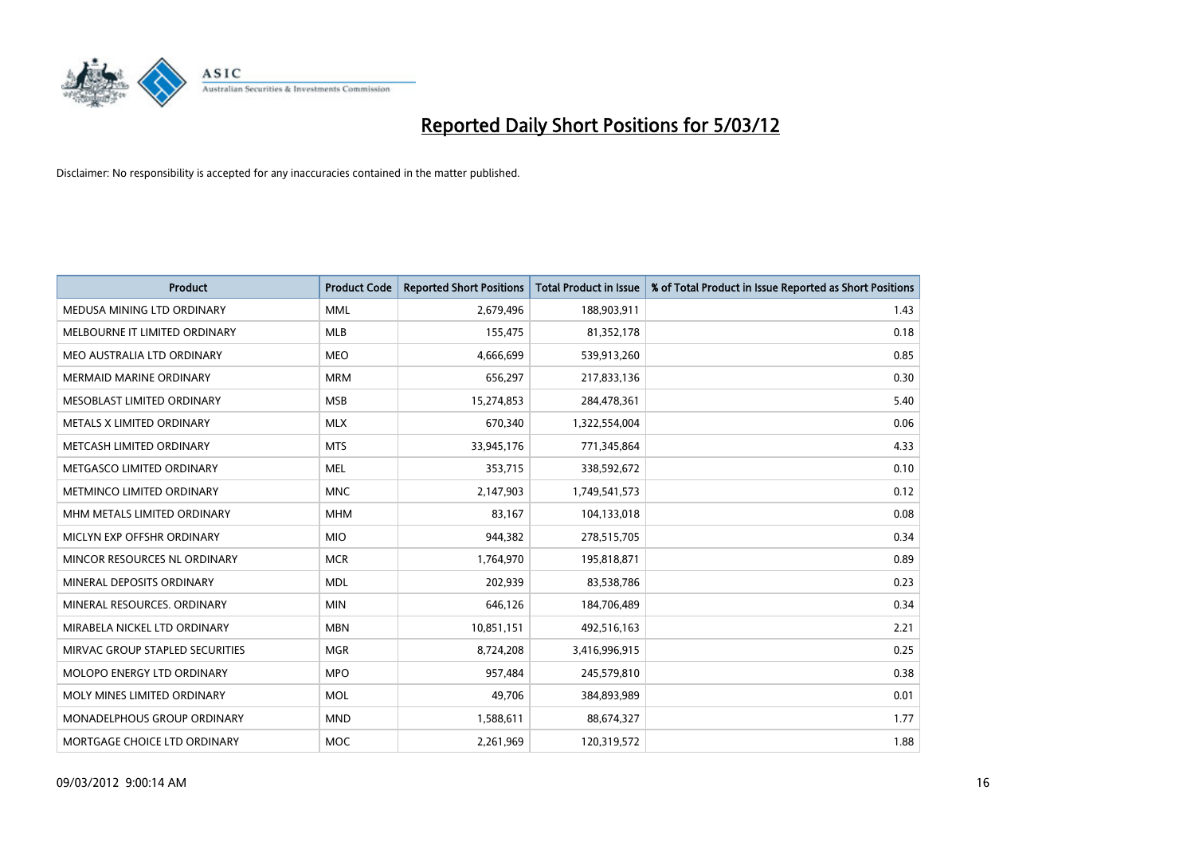

| <b>Product</b>                  | <b>Product Code</b> | <b>Reported Short Positions</b> | <b>Total Product in Issue</b> | % of Total Product in Issue Reported as Short Positions |
|---------------------------------|---------------------|---------------------------------|-------------------------------|---------------------------------------------------------|
| MEDUSA MINING LTD ORDINARY      | <b>MML</b>          | 2,679,496                       | 188,903,911                   | 1.43                                                    |
| MELBOURNE IT LIMITED ORDINARY   | MLB                 | 155,475                         | 81,352,178                    | 0.18                                                    |
| MEO AUSTRALIA LTD ORDINARY      | <b>MEO</b>          | 4,666,699                       | 539,913,260                   | 0.85                                                    |
| <b>MERMAID MARINE ORDINARY</b>  | <b>MRM</b>          | 656,297                         | 217,833,136                   | 0.30                                                    |
| MESOBLAST LIMITED ORDINARY      | <b>MSB</b>          | 15,274,853                      | 284,478,361                   | 5.40                                                    |
| METALS X LIMITED ORDINARY       | <b>MLX</b>          | 670,340                         | 1,322,554,004                 | 0.06                                                    |
| METCASH LIMITED ORDINARY        | <b>MTS</b>          | 33,945,176                      | 771,345,864                   | 4.33                                                    |
| METGASCO LIMITED ORDINARY       | <b>MEL</b>          | 353,715                         | 338,592,672                   | 0.10                                                    |
| METMINCO LIMITED ORDINARY       | <b>MNC</b>          | 2,147,903                       | 1,749,541,573                 | 0.12                                                    |
| MHM METALS LIMITED ORDINARY     | <b>MHM</b>          | 83,167                          | 104,133,018                   | 0.08                                                    |
| MICLYN EXP OFFSHR ORDINARY      | <b>MIO</b>          | 944,382                         | 278,515,705                   | 0.34                                                    |
| MINCOR RESOURCES NL ORDINARY    | <b>MCR</b>          | 1,764,970                       | 195,818,871                   | 0.89                                                    |
| MINERAL DEPOSITS ORDINARY       | <b>MDL</b>          | 202,939                         | 83,538,786                    | 0.23                                                    |
| MINERAL RESOURCES, ORDINARY     | <b>MIN</b>          | 646,126                         | 184,706,489                   | 0.34                                                    |
| MIRABELA NICKEL LTD ORDINARY    | <b>MBN</b>          | 10,851,151                      | 492,516,163                   | 2.21                                                    |
| MIRVAC GROUP STAPLED SECURITIES | <b>MGR</b>          | 8,724,208                       | 3,416,996,915                 | 0.25                                                    |
| MOLOPO ENERGY LTD ORDINARY      | <b>MPO</b>          | 957,484                         | 245,579,810                   | 0.38                                                    |
| MOLY MINES LIMITED ORDINARY     | <b>MOL</b>          | 49,706                          | 384,893,989                   | 0.01                                                    |
| MONADELPHOUS GROUP ORDINARY     | <b>MND</b>          | 1,588,611                       | 88,674,327                    | 1.77                                                    |
| MORTGAGE CHOICE LTD ORDINARY    | MOC                 | 2,261,969                       | 120,319,572                   | 1.88                                                    |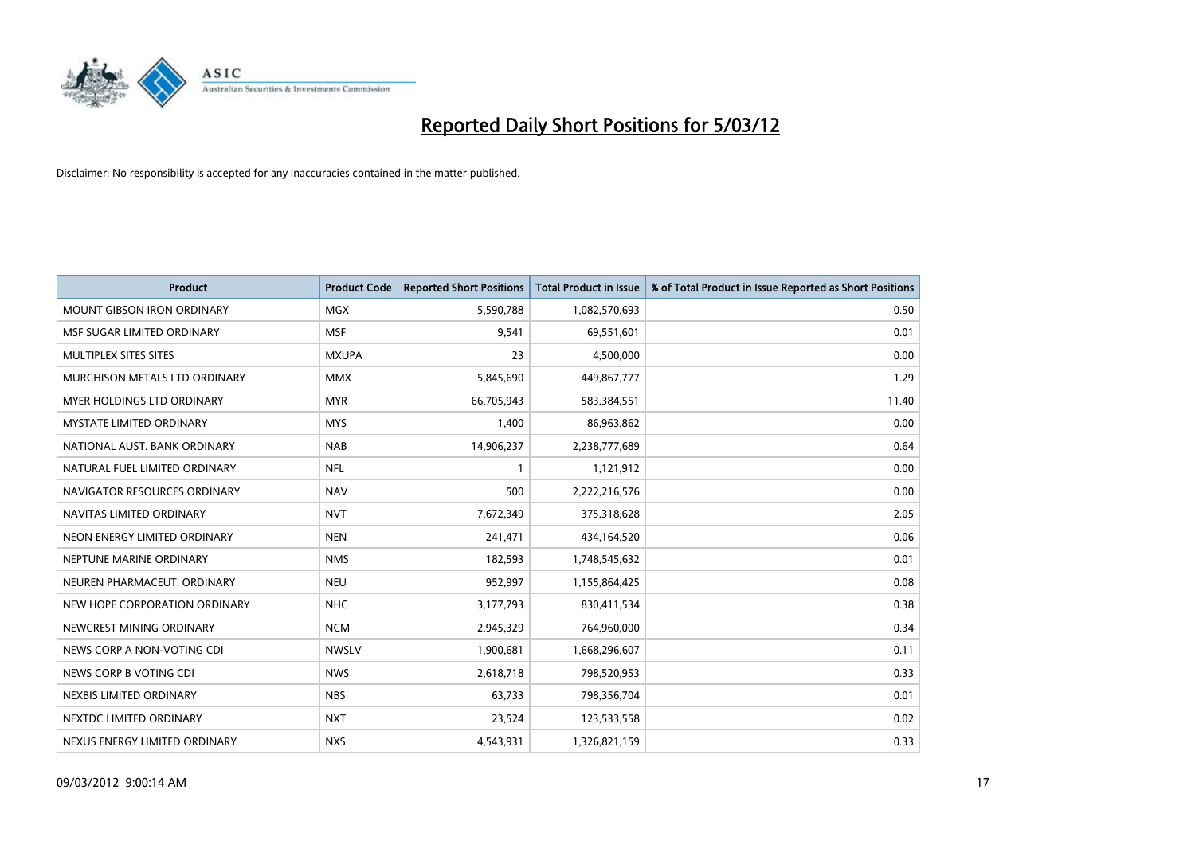

| <b>Product</b>                    | <b>Product Code</b> | <b>Reported Short Positions</b> | <b>Total Product in Issue</b> | % of Total Product in Issue Reported as Short Positions |
|-----------------------------------|---------------------|---------------------------------|-------------------------------|---------------------------------------------------------|
| <b>MOUNT GIBSON IRON ORDINARY</b> | <b>MGX</b>          | 5,590,788                       | 1,082,570,693                 | 0.50                                                    |
| MSF SUGAR LIMITED ORDINARY        | <b>MSF</b>          | 9,541                           | 69,551,601                    | 0.01                                                    |
| MULTIPLEX SITES SITES             | <b>MXUPA</b>        | 23                              | 4,500,000                     | 0.00                                                    |
| MURCHISON METALS LTD ORDINARY     | <b>MMX</b>          | 5,845,690                       | 449,867,777                   | 1.29                                                    |
| <b>MYER HOLDINGS LTD ORDINARY</b> | <b>MYR</b>          | 66,705,943                      | 583,384,551                   | 11.40                                                   |
| <b>MYSTATE LIMITED ORDINARY</b>   | <b>MYS</b>          | 1,400                           | 86,963,862                    | 0.00                                                    |
| NATIONAL AUST, BANK ORDINARY      | <b>NAB</b>          | 14,906,237                      | 2,238,777,689                 | 0.64                                                    |
| NATURAL FUEL LIMITED ORDINARY     | <b>NFL</b>          | $\mathbf{1}$                    | 1,121,912                     | 0.00                                                    |
| NAVIGATOR RESOURCES ORDINARY      | <b>NAV</b>          | 500                             | 2,222,216,576                 | 0.00                                                    |
| NAVITAS LIMITED ORDINARY          | <b>NVT</b>          | 7,672,349                       | 375,318,628                   | 2.05                                                    |
| NEON ENERGY LIMITED ORDINARY      | <b>NEN</b>          | 241,471                         | 434,164,520                   | 0.06                                                    |
| NEPTUNE MARINE ORDINARY           | <b>NMS</b>          | 182,593                         | 1,748,545,632                 | 0.01                                                    |
| NEUREN PHARMACEUT, ORDINARY       | <b>NEU</b>          | 952,997                         | 1,155,864,425                 | 0.08                                                    |
| NEW HOPE CORPORATION ORDINARY     | <b>NHC</b>          | 3,177,793                       | 830,411,534                   | 0.38                                                    |
| NEWCREST MINING ORDINARY          | <b>NCM</b>          | 2,945,329                       | 764,960,000                   | 0.34                                                    |
| NEWS CORP A NON-VOTING CDI        | <b>NWSLV</b>        | 1,900,681                       | 1,668,296,607                 | 0.11                                                    |
| NEWS CORP B VOTING CDI            | <b>NWS</b>          | 2,618,718                       | 798,520,953                   | 0.33                                                    |
| NEXBIS LIMITED ORDINARY           | <b>NBS</b>          | 63,733                          | 798,356,704                   | 0.01                                                    |
| NEXTDC LIMITED ORDINARY           | <b>NXT</b>          | 23,524                          | 123,533,558                   | 0.02                                                    |
| NEXUS ENERGY LIMITED ORDINARY     | <b>NXS</b>          | 4,543,931                       | 1,326,821,159                 | 0.33                                                    |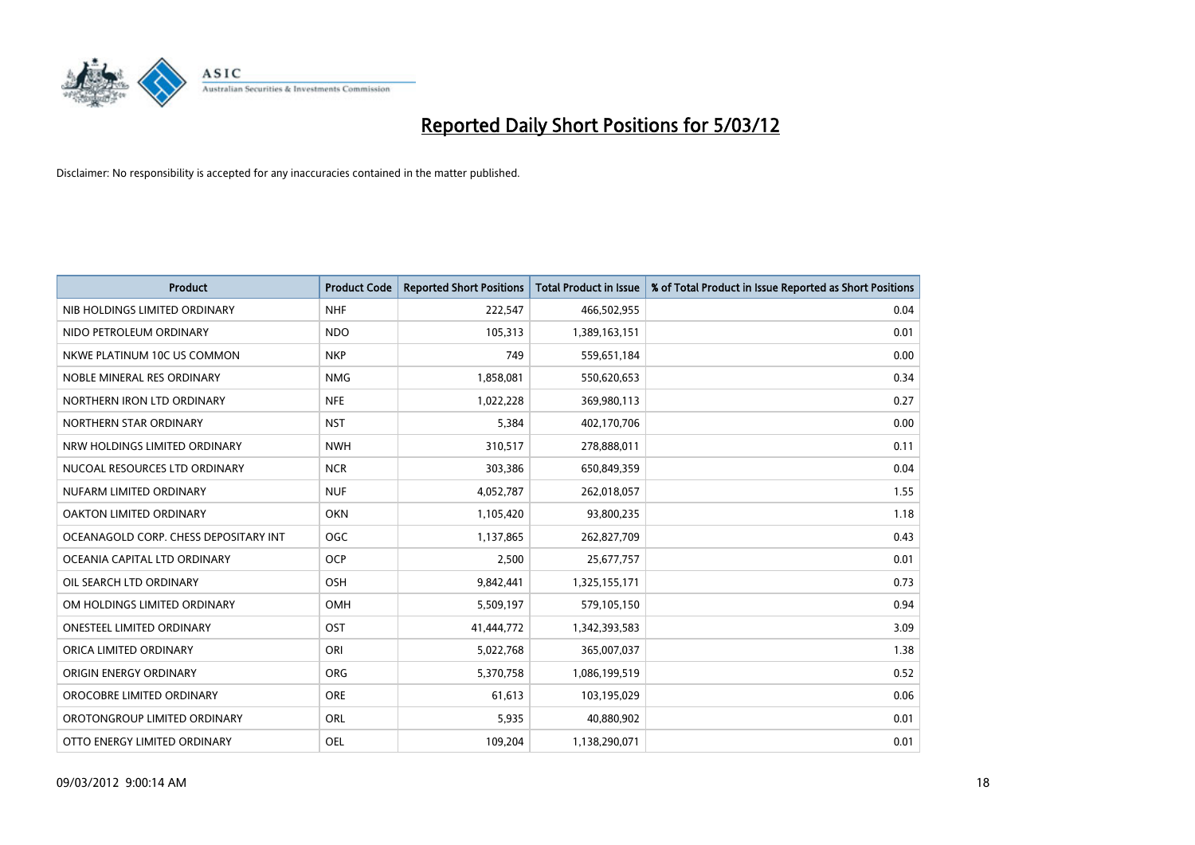

| <b>Product</b>                        | <b>Product Code</b> | <b>Reported Short Positions</b> | <b>Total Product in Issue</b> | % of Total Product in Issue Reported as Short Positions |
|---------------------------------------|---------------------|---------------------------------|-------------------------------|---------------------------------------------------------|
| NIB HOLDINGS LIMITED ORDINARY         | <b>NHF</b>          | 222,547                         | 466,502,955                   | 0.04                                                    |
| NIDO PETROLEUM ORDINARY               | <b>NDO</b>          | 105,313                         | 1,389,163,151                 | 0.01                                                    |
| NKWE PLATINUM 10C US COMMON           | <b>NKP</b>          | 749                             | 559,651,184                   | 0.00                                                    |
| NOBLE MINERAL RES ORDINARY            | <b>NMG</b>          | 1,858,081                       | 550,620,653                   | 0.34                                                    |
| NORTHERN IRON LTD ORDINARY            | <b>NFE</b>          | 1,022,228                       | 369,980,113                   | 0.27                                                    |
| NORTHERN STAR ORDINARY                | <b>NST</b>          | 5,384                           | 402,170,706                   | 0.00                                                    |
| NRW HOLDINGS LIMITED ORDINARY         | <b>NWH</b>          | 310,517                         | 278,888,011                   | 0.11                                                    |
| NUCOAL RESOURCES LTD ORDINARY         | <b>NCR</b>          | 303,386                         | 650,849,359                   | 0.04                                                    |
| NUFARM LIMITED ORDINARY               | <b>NUF</b>          | 4,052,787                       | 262,018,057                   | 1.55                                                    |
| <b>OAKTON LIMITED ORDINARY</b>        | <b>OKN</b>          | 1,105,420                       | 93,800,235                    | 1.18                                                    |
| OCEANAGOLD CORP. CHESS DEPOSITARY INT | <b>OGC</b>          | 1,137,865                       | 262,827,709                   | 0.43                                                    |
| OCEANIA CAPITAL LTD ORDINARY          | <b>OCP</b>          | 2,500                           | 25,677,757                    | 0.01                                                    |
| OIL SEARCH LTD ORDINARY               | OSH                 | 9,842,441                       | 1,325,155,171                 | 0.73                                                    |
| OM HOLDINGS LIMITED ORDINARY          | OMH                 | 5,509,197                       | 579,105,150                   | 0.94                                                    |
| <b>ONESTEEL LIMITED ORDINARY</b>      | OST                 | 41,444,772                      | 1,342,393,583                 | 3.09                                                    |
| ORICA LIMITED ORDINARY                | ORI                 | 5,022,768                       | 365,007,037                   | 1.38                                                    |
| ORIGIN ENERGY ORDINARY                | ORG                 | 5,370,758                       | 1,086,199,519                 | 0.52                                                    |
| OROCOBRE LIMITED ORDINARY             | <b>ORE</b>          | 61,613                          | 103,195,029                   | 0.06                                                    |
| OROTONGROUP LIMITED ORDINARY          | ORL                 | 5,935                           | 40,880,902                    | 0.01                                                    |
| OTTO ENERGY LIMITED ORDINARY          | <b>OEL</b>          | 109,204                         | 1,138,290,071                 | 0.01                                                    |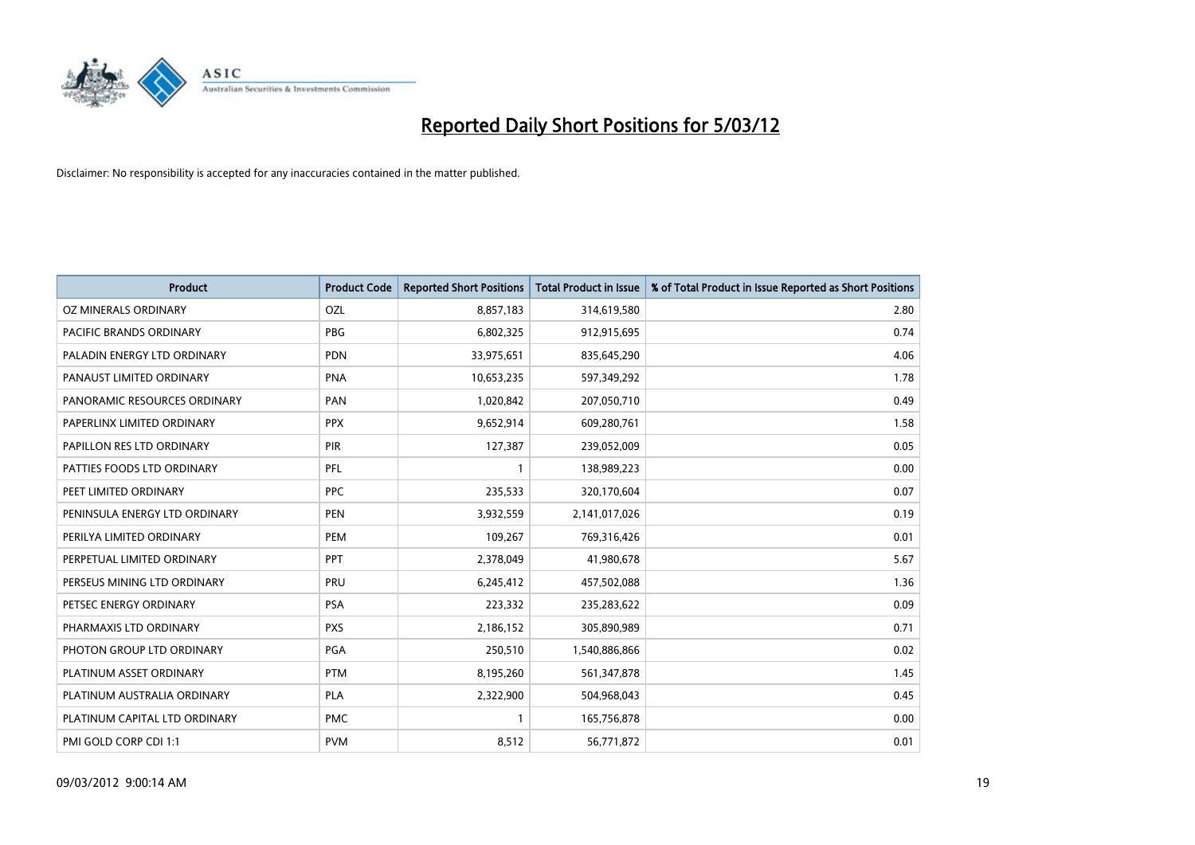

| <b>Product</b>                | <b>Product Code</b> | <b>Reported Short Positions</b> | <b>Total Product in Issue</b> | % of Total Product in Issue Reported as Short Positions |
|-------------------------------|---------------------|---------------------------------|-------------------------------|---------------------------------------------------------|
| OZ MINERALS ORDINARY          | OZL                 | 8,857,183                       | 314,619,580                   | 2.80                                                    |
| PACIFIC BRANDS ORDINARY       | <b>PBG</b>          | 6,802,325                       | 912,915,695                   | 0.74                                                    |
| PALADIN ENERGY LTD ORDINARY   | <b>PDN</b>          | 33,975,651                      | 835,645,290                   | 4.06                                                    |
| PANAUST LIMITED ORDINARY      | <b>PNA</b>          | 10,653,235                      | 597,349,292                   | 1.78                                                    |
| PANORAMIC RESOURCES ORDINARY  | PAN                 | 1,020,842                       | 207,050,710                   | 0.49                                                    |
| PAPERLINX LIMITED ORDINARY    | <b>PPX</b>          | 9,652,914                       | 609,280,761                   | 1.58                                                    |
| PAPILLON RES LTD ORDINARY     | <b>PIR</b>          | 127,387                         | 239,052,009                   | 0.05                                                    |
| PATTIES FOODS LTD ORDINARY    | PFL                 | $\mathbf{1}$                    | 138,989,223                   | 0.00                                                    |
| PEET LIMITED ORDINARY         | <b>PPC</b>          | 235,533                         | 320,170,604                   | 0.07                                                    |
| PENINSULA ENERGY LTD ORDINARY | <b>PEN</b>          | 3,932,559                       | 2,141,017,026                 | 0.19                                                    |
| PERILYA LIMITED ORDINARY      | <b>PEM</b>          | 109,267                         | 769,316,426                   | 0.01                                                    |
| PERPETUAL LIMITED ORDINARY    | PPT                 | 2,378,049                       | 41,980,678                    | 5.67                                                    |
| PERSEUS MINING LTD ORDINARY   | PRU                 | 6,245,412                       | 457,502,088                   | 1.36                                                    |
| PETSEC ENERGY ORDINARY        | <b>PSA</b>          | 223,332                         | 235,283,622                   | 0.09                                                    |
| PHARMAXIS LTD ORDINARY        | <b>PXS</b>          | 2,186,152                       | 305,890,989                   | 0.71                                                    |
| PHOTON GROUP LTD ORDINARY     | PGA                 | 250,510                         | 1,540,886,866                 | 0.02                                                    |
| PLATINUM ASSET ORDINARY       | <b>PTM</b>          | 8,195,260                       | 561,347,878                   | 1.45                                                    |
| PLATINUM AUSTRALIA ORDINARY   | <b>PLA</b>          | 2,322,900                       | 504,968,043                   | 0.45                                                    |
| PLATINUM CAPITAL LTD ORDINARY | <b>PMC</b>          | $\mathbf{1}$                    | 165,756,878                   | 0.00                                                    |
| PMI GOLD CORP CDI 1:1         | <b>PVM</b>          | 8,512                           | 56,771,872                    | 0.01                                                    |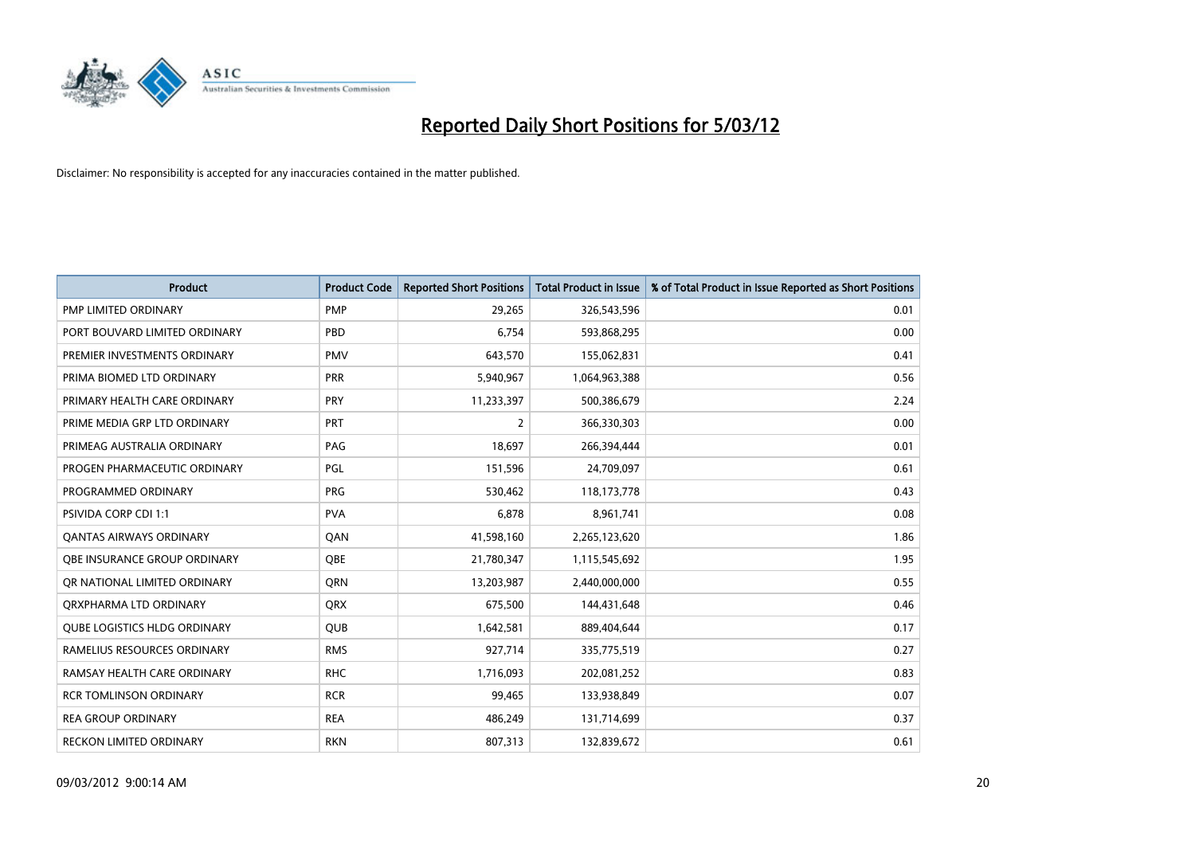

| <b>Product</b>                      | <b>Product Code</b> | <b>Reported Short Positions</b> | <b>Total Product in Issue</b> | % of Total Product in Issue Reported as Short Positions |
|-------------------------------------|---------------------|---------------------------------|-------------------------------|---------------------------------------------------------|
| PMP LIMITED ORDINARY                | <b>PMP</b>          | 29,265                          | 326,543,596                   | 0.01                                                    |
| PORT BOUVARD LIMITED ORDINARY       | <b>PBD</b>          | 6,754                           | 593,868,295                   | 0.00                                                    |
| PREMIER INVESTMENTS ORDINARY        | <b>PMV</b>          | 643,570                         | 155,062,831                   | 0.41                                                    |
| PRIMA BIOMED LTD ORDINARY           | <b>PRR</b>          | 5,940,967                       | 1,064,963,388                 | 0.56                                                    |
| PRIMARY HEALTH CARE ORDINARY        | <b>PRY</b>          | 11,233,397                      | 500,386,679                   | 2.24                                                    |
| PRIME MEDIA GRP LTD ORDINARY        | <b>PRT</b>          | 2                               | 366,330,303                   | 0.00                                                    |
| PRIMEAG AUSTRALIA ORDINARY          | PAG                 | 18,697                          | 266,394,444                   | 0.01                                                    |
| PROGEN PHARMACEUTIC ORDINARY        | PGL                 | 151,596                         | 24,709,097                    | 0.61                                                    |
| PROGRAMMED ORDINARY                 | <b>PRG</b>          | 530,462                         | 118,173,778                   | 0.43                                                    |
| PSIVIDA CORP CDI 1:1                | <b>PVA</b>          | 6,878                           | 8,961,741                     | 0.08                                                    |
| <b>QANTAS AIRWAYS ORDINARY</b>      | QAN                 | 41,598,160                      | 2,265,123,620                 | 1.86                                                    |
| <b>OBE INSURANCE GROUP ORDINARY</b> | <b>OBE</b>          | 21,780,347                      | 1,115,545,692                 | 1.95                                                    |
| OR NATIONAL LIMITED ORDINARY        | <b>ORN</b>          | 13,203,987                      | 2,440,000,000                 | 0.55                                                    |
| ORXPHARMA LTD ORDINARY              | <b>QRX</b>          | 675,500                         | 144,431,648                   | 0.46                                                    |
| <b>QUBE LOGISTICS HLDG ORDINARY</b> | QUB                 | 1,642,581                       | 889,404,644                   | 0.17                                                    |
| RAMELIUS RESOURCES ORDINARY         | <b>RMS</b>          | 927,714                         | 335,775,519                   | 0.27                                                    |
| RAMSAY HEALTH CARE ORDINARY         | <b>RHC</b>          | 1,716,093                       | 202,081,252                   | 0.83                                                    |
| <b>RCR TOMLINSON ORDINARY</b>       | <b>RCR</b>          | 99,465                          | 133,938,849                   | 0.07                                                    |
| <b>REA GROUP ORDINARY</b>           | <b>REA</b>          | 486,249                         | 131,714,699                   | 0.37                                                    |
| RECKON LIMITED ORDINARY             | <b>RKN</b>          | 807,313                         | 132,839,672                   | 0.61                                                    |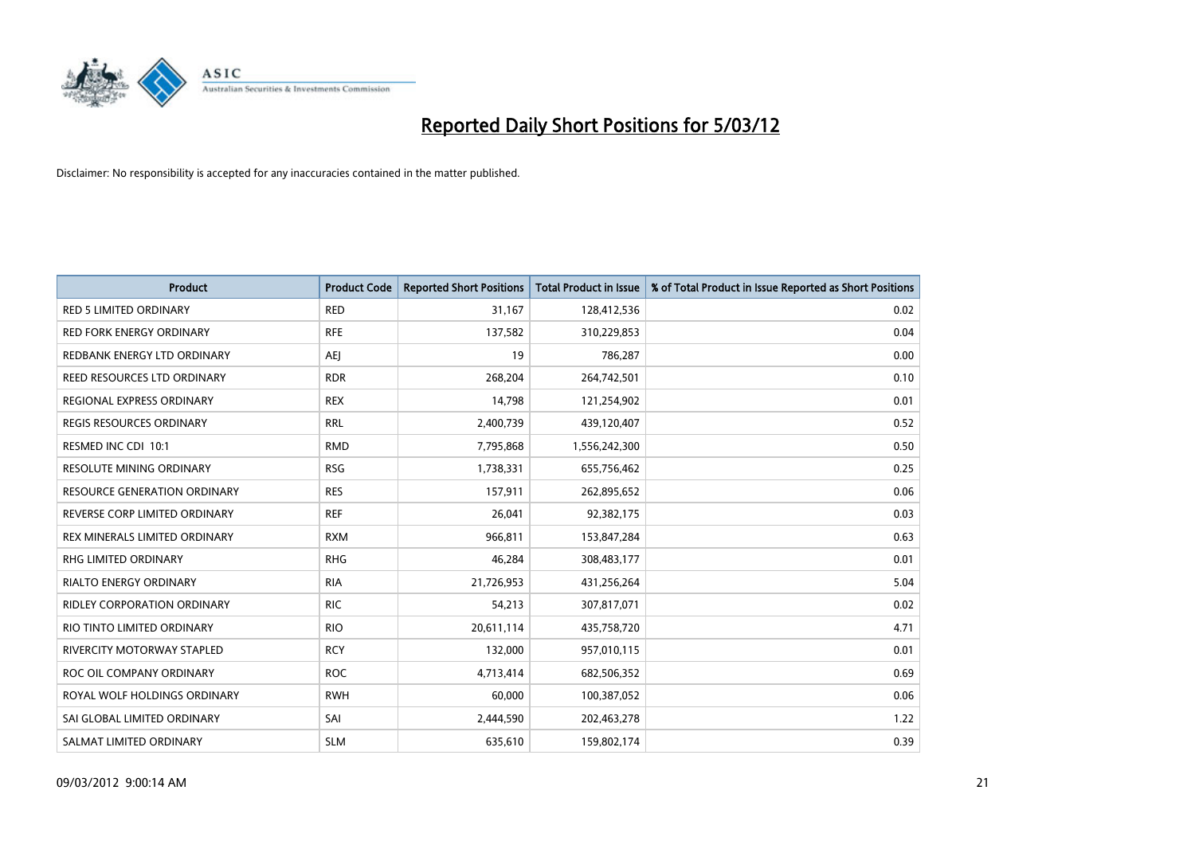

| <b>Product</b>                      | <b>Product Code</b> | <b>Reported Short Positions</b> | <b>Total Product in Issue</b> | % of Total Product in Issue Reported as Short Positions |
|-------------------------------------|---------------------|---------------------------------|-------------------------------|---------------------------------------------------------|
| <b>RED 5 LIMITED ORDINARY</b>       | <b>RED</b>          | 31,167                          | 128,412,536                   | 0.02                                                    |
| <b>RED FORK ENERGY ORDINARY</b>     | <b>RFE</b>          | 137,582                         | 310,229,853                   | 0.04                                                    |
| REDBANK ENERGY LTD ORDINARY         | <b>AEI</b>          | 19                              | 786,287                       | 0.00                                                    |
| REED RESOURCES LTD ORDINARY         | <b>RDR</b>          | 268,204                         | 264,742,501                   | 0.10                                                    |
| REGIONAL EXPRESS ORDINARY           | <b>REX</b>          | 14,798                          | 121,254,902                   | 0.01                                                    |
| <b>REGIS RESOURCES ORDINARY</b>     | <b>RRL</b>          | 2,400,739                       | 439,120,407                   | 0.52                                                    |
| RESMED INC CDI 10:1                 | <b>RMD</b>          | 7,795,868                       | 1,556,242,300                 | 0.50                                                    |
| RESOLUTE MINING ORDINARY            | <b>RSG</b>          | 1,738,331                       | 655,756,462                   | 0.25                                                    |
| <b>RESOURCE GENERATION ORDINARY</b> | <b>RES</b>          | 157,911                         | 262,895,652                   | 0.06                                                    |
| REVERSE CORP LIMITED ORDINARY       | <b>REF</b>          | 26,041                          | 92,382,175                    | 0.03                                                    |
| REX MINERALS LIMITED ORDINARY       | <b>RXM</b>          | 966,811                         | 153,847,284                   | 0.63                                                    |
| RHG LIMITED ORDINARY                | <b>RHG</b>          | 46,284                          | 308,483,177                   | 0.01                                                    |
| RIALTO ENERGY ORDINARY              | <b>RIA</b>          | 21,726,953                      | 431,256,264                   | 5.04                                                    |
| RIDLEY CORPORATION ORDINARY         | <b>RIC</b>          | 54,213                          | 307,817,071                   | 0.02                                                    |
| RIO TINTO LIMITED ORDINARY          | <b>RIO</b>          | 20,611,114                      | 435,758,720                   | 4.71                                                    |
| RIVERCITY MOTORWAY STAPLED          | <b>RCY</b>          | 132,000                         | 957,010,115                   | 0.01                                                    |
| ROC OIL COMPANY ORDINARY            | <b>ROC</b>          | 4,713,414                       | 682,506,352                   | 0.69                                                    |
| ROYAL WOLF HOLDINGS ORDINARY        | <b>RWH</b>          | 60,000                          | 100,387,052                   | 0.06                                                    |
| SAI GLOBAL LIMITED ORDINARY         | SAI                 | 2,444,590                       | 202,463,278                   | 1.22                                                    |
| SALMAT LIMITED ORDINARY             | <b>SLM</b>          | 635,610                         | 159,802,174                   | 0.39                                                    |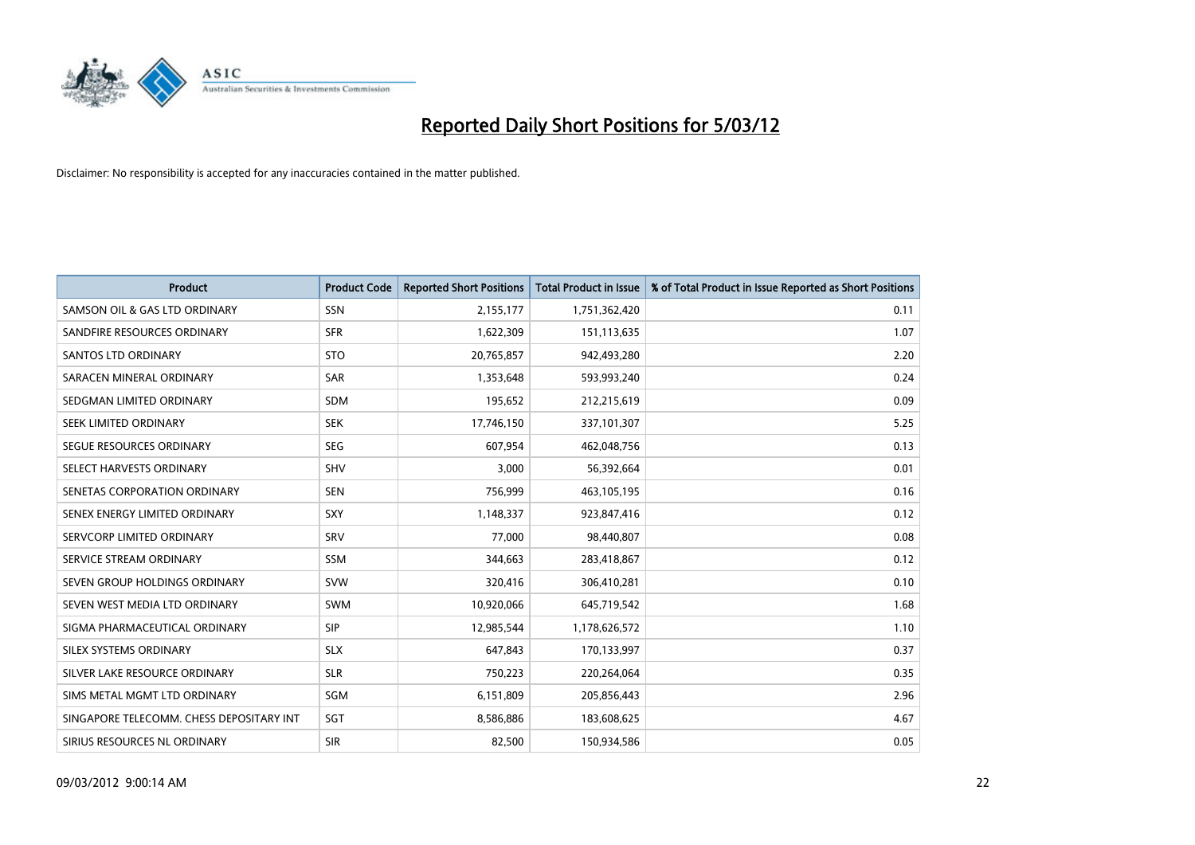

| <b>Product</b>                           | <b>Product Code</b> | <b>Reported Short Positions</b> | <b>Total Product in Issue</b> | % of Total Product in Issue Reported as Short Positions |
|------------------------------------------|---------------------|---------------------------------|-------------------------------|---------------------------------------------------------|
| SAMSON OIL & GAS LTD ORDINARY            | SSN                 | 2,155,177                       | 1,751,362,420                 | 0.11                                                    |
| SANDFIRE RESOURCES ORDINARY              | <b>SFR</b>          | 1,622,309                       | 151,113,635                   | 1.07                                                    |
| <b>SANTOS LTD ORDINARY</b>               | <b>STO</b>          | 20,765,857                      | 942,493,280                   | 2.20                                                    |
| SARACEN MINERAL ORDINARY                 | SAR                 | 1,353,648                       | 593,993,240                   | 0.24                                                    |
| SEDGMAN LIMITED ORDINARY                 | <b>SDM</b>          | 195,652                         | 212,215,619                   | 0.09                                                    |
| SEEK LIMITED ORDINARY                    | <b>SEK</b>          | 17,746,150                      | 337,101,307                   | 5.25                                                    |
| SEGUE RESOURCES ORDINARY                 | SEG                 | 607,954                         | 462,048,756                   | 0.13                                                    |
| SELECT HARVESTS ORDINARY                 | SHV                 | 3,000                           | 56,392,664                    | 0.01                                                    |
| SENETAS CORPORATION ORDINARY             | <b>SEN</b>          | 756,999                         | 463,105,195                   | 0.16                                                    |
| SENEX ENERGY LIMITED ORDINARY            | <b>SXY</b>          | 1,148,337                       | 923,847,416                   | 0.12                                                    |
| SERVCORP LIMITED ORDINARY                | SRV                 | 77,000                          | 98,440,807                    | 0.08                                                    |
| SERVICE STREAM ORDINARY                  | SSM                 | 344,663                         | 283,418,867                   | 0.12                                                    |
| SEVEN GROUP HOLDINGS ORDINARY            | <b>SVW</b>          | 320,416                         | 306,410,281                   | 0.10                                                    |
| SEVEN WEST MEDIA LTD ORDINARY            | <b>SWM</b>          | 10,920,066                      | 645,719,542                   | 1.68                                                    |
| SIGMA PHARMACEUTICAL ORDINARY            | <b>SIP</b>          | 12,985,544                      | 1,178,626,572                 | 1.10                                                    |
| SILEX SYSTEMS ORDINARY                   | <b>SLX</b>          | 647,843                         | 170,133,997                   | 0.37                                                    |
| SILVER LAKE RESOURCE ORDINARY            | <b>SLR</b>          | 750,223                         | 220,264,064                   | 0.35                                                    |
| SIMS METAL MGMT LTD ORDINARY             | SGM                 | 6,151,809                       | 205,856,443                   | 2.96                                                    |
| SINGAPORE TELECOMM. CHESS DEPOSITARY INT | SGT                 | 8,586,886                       | 183,608,625                   | 4.67                                                    |
| SIRIUS RESOURCES NL ORDINARY             | <b>SIR</b>          | 82,500                          | 150,934,586                   | 0.05                                                    |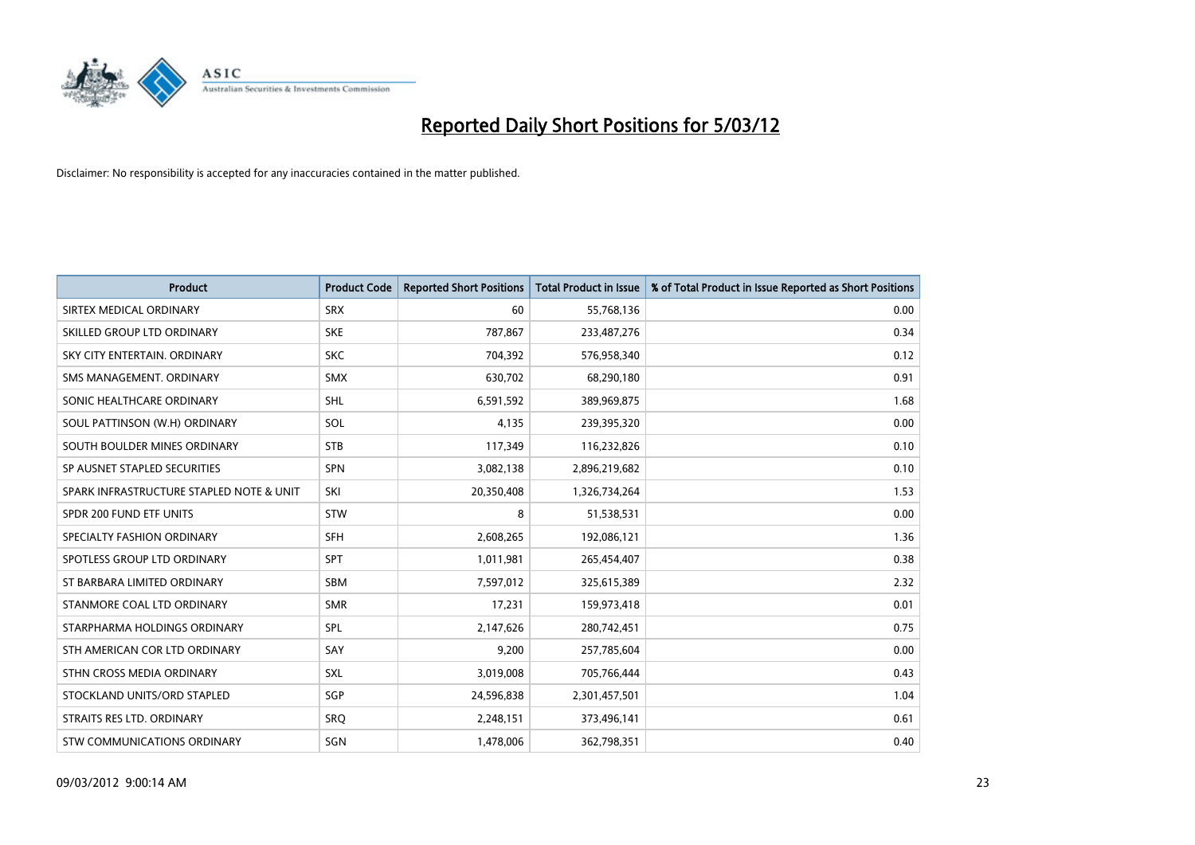

| <b>Product</b>                           | <b>Product Code</b> | <b>Reported Short Positions</b> | <b>Total Product in Issue</b> | % of Total Product in Issue Reported as Short Positions |
|------------------------------------------|---------------------|---------------------------------|-------------------------------|---------------------------------------------------------|
| SIRTEX MEDICAL ORDINARY                  | <b>SRX</b>          | 60                              | 55,768,136                    | 0.00                                                    |
| SKILLED GROUP LTD ORDINARY               | <b>SKE</b>          | 787,867                         | 233,487,276                   | 0.34                                                    |
| SKY CITY ENTERTAIN, ORDINARY             | <b>SKC</b>          | 704,392                         | 576,958,340                   | 0.12                                                    |
| SMS MANAGEMENT. ORDINARY                 | <b>SMX</b>          | 630,702                         | 68,290,180                    | 0.91                                                    |
| SONIC HEALTHCARE ORDINARY                | SHL                 | 6,591,592                       | 389,969,875                   | 1.68                                                    |
| SOUL PATTINSON (W.H) ORDINARY            | SOL                 | 4,135                           | 239,395,320                   | 0.00                                                    |
| SOUTH BOULDER MINES ORDINARY             | <b>STB</b>          | 117,349                         | 116,232,826                   | 0.10                                                    |
| SP AUSNET STAPLED SECURITIES             | SPN                 | 3,082,138                       | 2,896,219,682                 | 0.10                                                    |
| SPARK INFRASTRUCTURE STAPLED NOTE & UNIT | SKI                 | 20,350,408                      | 1,326,734,264                 | 1.53                                                    |
| SPDR 200 FUND ETF UNITS                  | <b>STW</b>          | 8                               | 51,538,531                    | 0.00                                                    |
| SPECIALTY FASHION ORDINARY               | <b>SFH</b>          | 2,608,265                       | 192,086,121                   | 1.36                                                    |
| SPOTLESS GROUP LTD ORDINARY              | <b>SPT</b>          | 1,011,981                       | 265,454,407                   | 0.38                                                    |
| ST BARBARA LIMITED ORDINARY              | <b>SBM</b>          | 7,597,012                       | 325,615,389                   | 2.32                                                    |
| STANMORE COAL LTD ORDINARY               | <b>SMR</b>          | 17,231                          | 159,973,418                   | 0.01                                                    |
| STARPHARMA HOLDINGS ORDINARY             | <b>SPL</b>          | 2,147,626                       | 280,742,451                   | 0.75                                                    |
| STH AMERICAN COR LTD ORDINARY            | SAY                 | 9,200                           | 257,785,604                   | 0.00                                                    |
| STHN CROSS MEDIA ORDINARY                | <b>SXL</b>          | 3,019,008                       | 705,766,444                   | 0.43                                                    |
| STOCKLAND UNITS/ORD STAPLED              | SGP                 | 24,596,838                      | 2,301,457,501                 | 1.04                                                    |
| STRAITS RES LTD. ORDINARY                | SRO                 | 2,248,151                       | 373,496,141                   | 0.61                                                    |
| STW COMMUNICATIONS ORDINARY              | SGN                 | 1,478,006                       | 362,798,351                   | 0.40                                                    |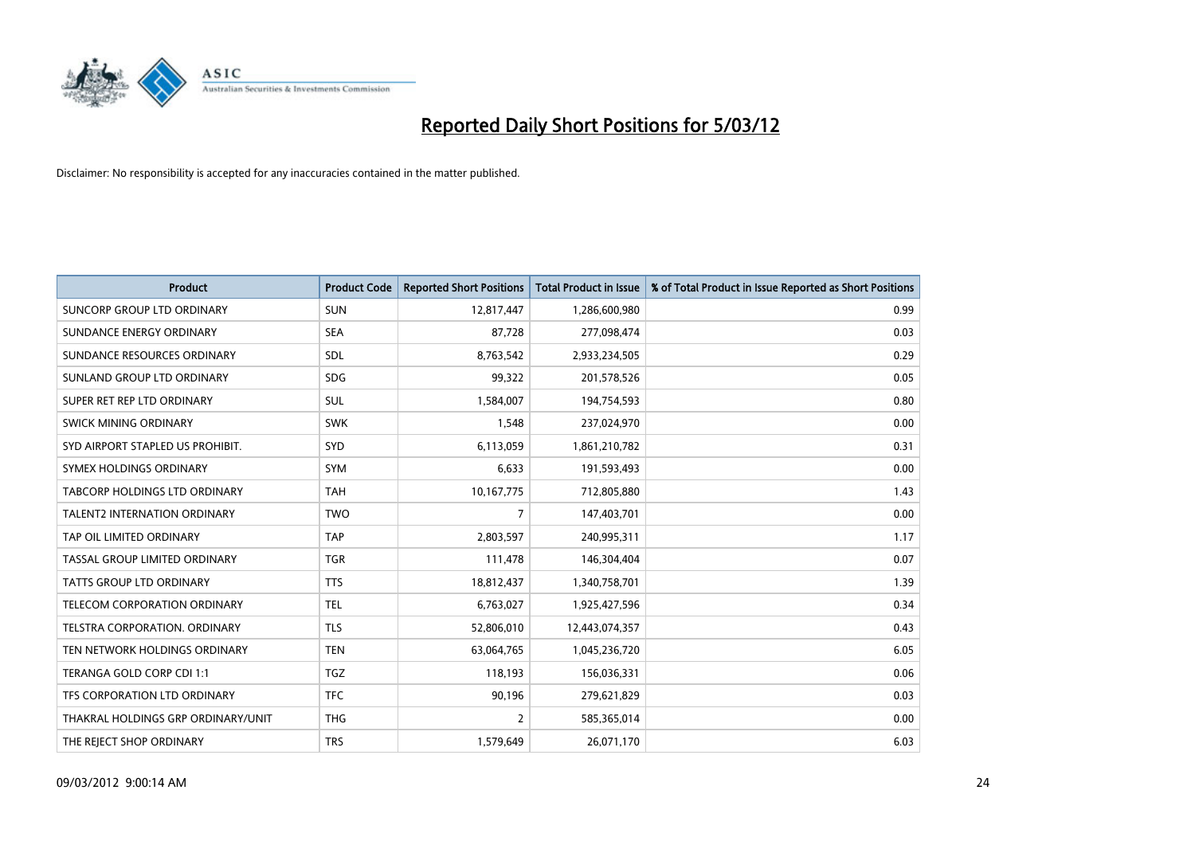

| <b>Product</b>                       | <b>Product Code</b> | <b>Reported Short Positions</b> | <b>Total Product in Issue</b> | % of Total Product in Issue Reported as Short Positions |
|--------------------------------------|---------------------|---------------------------------|-------------------------------|---------------------------------------------------------|
| <b>SUNCORP GROUP LTD ORDINARY</b>    | <b>SUN</b>          | 12,817,447                      | 1,286,600,980                 | 0.99                                                    |
| SUNDANCE ENERGY ORDINARY             | <b>SEA</b>          | 87,728                          | 277,098,474                   | 0.03                                                    |
| SUNDANCE RESOURCES ORDINARY          | <b>SDL</b>          | 8,763,542                       | 2,933,234,505                 | 0.29                                                    |
| SUNLAND GROUP LTD ORDINARY           | <b>SDG</b>          | 99,322                          | 201,578,526                   | 0.05                                                    |
| SUPER RET REP LTD ORDINARY           | SUL                 | 1,584,007                       | 194,754,593                   | 0.80                                                    |
| SWICK MINING ORDINARY                | <b>SWK</b>          | 1,548                           | 237,024,970                   | 0.00                                                    |
| SYD AIRPORT STAPLED US PROHIBIT.     | <b>SYD</b>          | 6,113,059                       | 1,861,210,782                 | 0.31                                                    |
| SYMEX HOLDINGS ORDINARY              | <b>SYM</b>          | 6,633                           | 191,593,493                   | 0.00                                                    |
| <b>TABCORP HOLDINGS LTD ORDINARY</b> | <b>TAH</b>          | 10,167,775                      | 712,805,880                   | 1.43                                                    |
| <b>TALENT2 INTERNATION ORDINARY</b>  | <b>TWO</b>          | 7                               | 147,403,701                   | 0.00                                                    |
| TAP OIL LIMITED ORDINARY             | <b>TAP</b>          | 2,803,597                       | 240,995,311                   | 1.17                                                    |
| TASSAL GROUP LIMITED ORDINARY        | <b>TGR</b>          | 111,478                         | 146,304,404                   | 0.07                                                    |
| TATTS GROUP LTD ORDINARY             | <b>TTS</b>          | 18,812,437                      | 1,340,758,701                 | 1.39                                                    |
| TELECOM CORPORATION ORDINARY         | <b>TEL</b>          | 6,763,027                       | 1,925,427,596                 | 0.34                                                    |
| TELSTRA CORPORATION, ORDINARY        | <b>TLS</b>          | 52,806,010                      | 12,443,074,357                | 0.43                                                    |
| TEN NETWORK HOLDINGS ORDINARY        | <b>TEN</b>          | 63,064,765                      | 1,045,236,720                 | 6.05                                                    |
| TERANGA GOLD CORP CDI 1:1            | <b>TGZ</b>          | 118,193                         | 156,036,331                   | 0.06                                                    |
| TFS CORPORATION LTD ORDINARY         | <b>TFC</b>          | 90,196                          | 279,621,829                   | 0.03                                                    |
| THAKRAL HOLDINGS GRP ORDINARY/UNIT   | <b>THG</b>          | $\overline{2}$                  | 585,365,014                   | 0.00                                                    |
| THE REJECT SHOP ORDINARY             | <b>TRS</b>          | 1,579,649                       | 26,071,170                    | 6.03                                                    |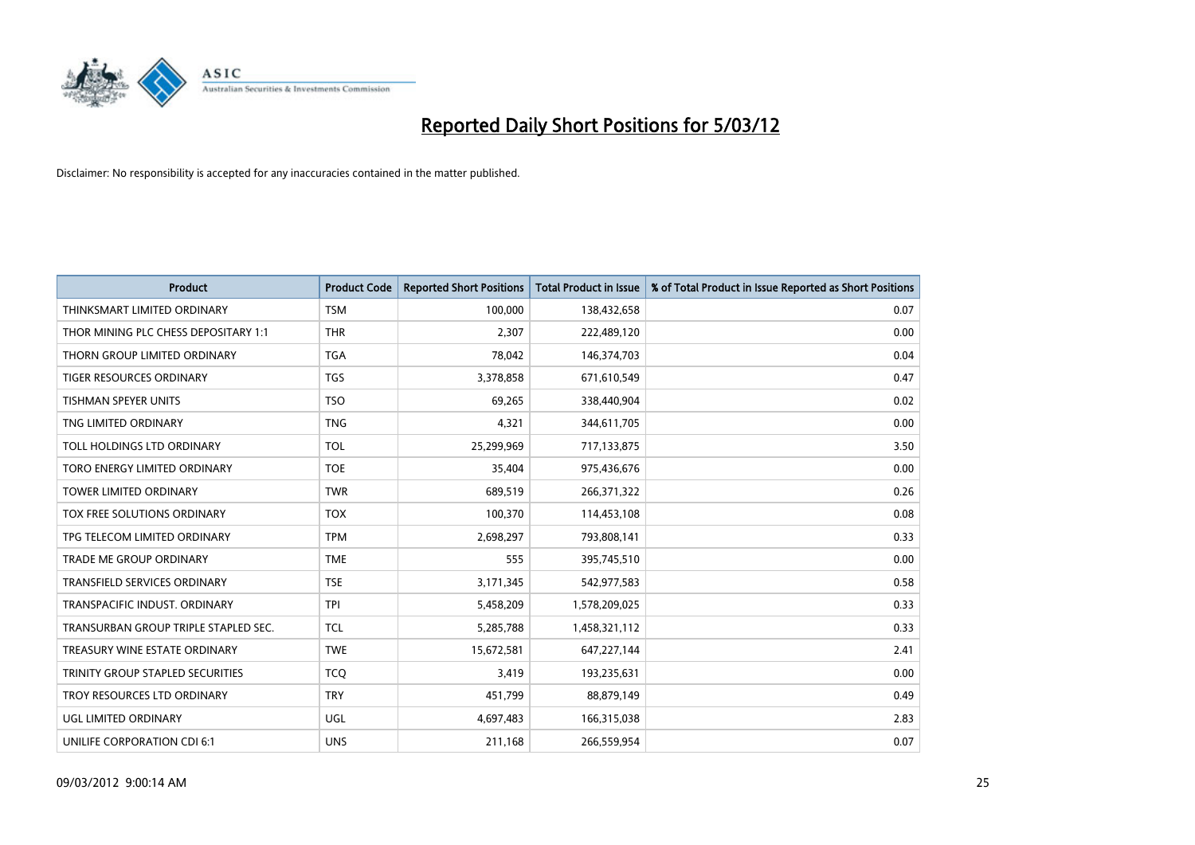

| <b>Product</b>                       | <b>Product Code</b> | <b>Reported Short Positions</b> | <b>Total Product in Issue</b> | % of Total Product in Issue Reported as Short Positions |
|--------------------------------------|---------------------|---------------------------------|-------------------------------|---------------------------------------------------------|
| THINKSMART LIMITED ORDINARY          | <b>TSM</b>          | 100,000                         | 138,432,658                   | 0.07                                                    |
| THOR MINING PLC CHESS DEPOSITARY 1:1 | <b>THR</b>          | 2,307                           | 222,489,120                   | 0.00                                                    |
| THORN GROUP LIMITED ORDINARY         | <b>TGA</b>          | 78,042                          | 146,374,703                   | 0.04                                                    |
| TIGER RESOURCES ORDINARY             | <b>TGS</b>          | 3,378,858                       | 671,610,549                   | 0.47                                                    |
| <b>TISHMAN SPEYER UNITS</b>          | <b>TSO</b>          | 69,265                          | 338,440,904                   | 0.02                                                    |
| TNG LIMITED ORDINARY                 | <b>TNG</b>          | 4,321                           | 344,611,705                   | 0.00                                                    |
| <b>TOLL HOLDINGS LTD ORDINARY</b>    | <b>TOL</b>          | 25,299,969                      | 717,133,875                   | 3.50                                                    |
| TORO ENERGY LIMITED ORDINARY         | <b>TOE</b>          | 35,404                          | 975,436,676                   | 0.00                                                    |
| <b>TOWER LIMITED ORDINARY</b>        | <b>TWR</b>          | 689,519                         | 266,371,322                   | 0.26                                                    |
| TOX FREE SOLUTIONS ORDINARY          | <b>TOX</b>          | 100,370                         | 114,453,108                   | 0.08                                                    |
| TPG TELECOM LIMITED ORDINARY         | <b>TPM</b>          | 2,698,297                       | 793,808,141                   | 0.33                                                    |
| <b>TRADE ME GROUP ORDINARY</b>       | <b>TME</b>          | 555                             | 395,745,510                   | 0.00                                                    |
| TRANSFIELD SERVICES ORDINARY         | <b>TSE</b>          | 3,171,345                       | 542,977,583                   | 0.58                                                    |
| TRANSPACIFIC INDUST, ORDINARY        | <b>TPI</b>          | 5,458,209                       | 1,578,209,025                 | 0.33                                                    |
| TRANSURBAN GROUP TRIPLE STAPLED SEC. | <b>TCL</b>          | 5,285,788                       | 1,458,321,112                 | 0.33                                                    |
| TREASURY WINE ESTATE ORDINARY        | <b>TWE</b>          | 15,672,581                      | 647,227,144                   | 2.41                                                    |
| TRINITY GROUP STAPLED SECURITIES     | <b>TCQ</b>          | 3,419                           | 193,235,631                   | 0.00                                                    |
| TROY RESOURCES LTD ORDINARY          | <b>TRY</b>          | 451,799                         | 88,879,149                    | 0.49                                                    |
| <b>UGL LIMITED ORDINARY</b>          | UGL                 | 4,697,483                       | 166,315,038                   | 2.83                                                    |
| UNILIFE CORPORATION CDI 6:1          | <b>UNS</b>          | 211,168                         | 266,559,954                   | 0.07                                                    |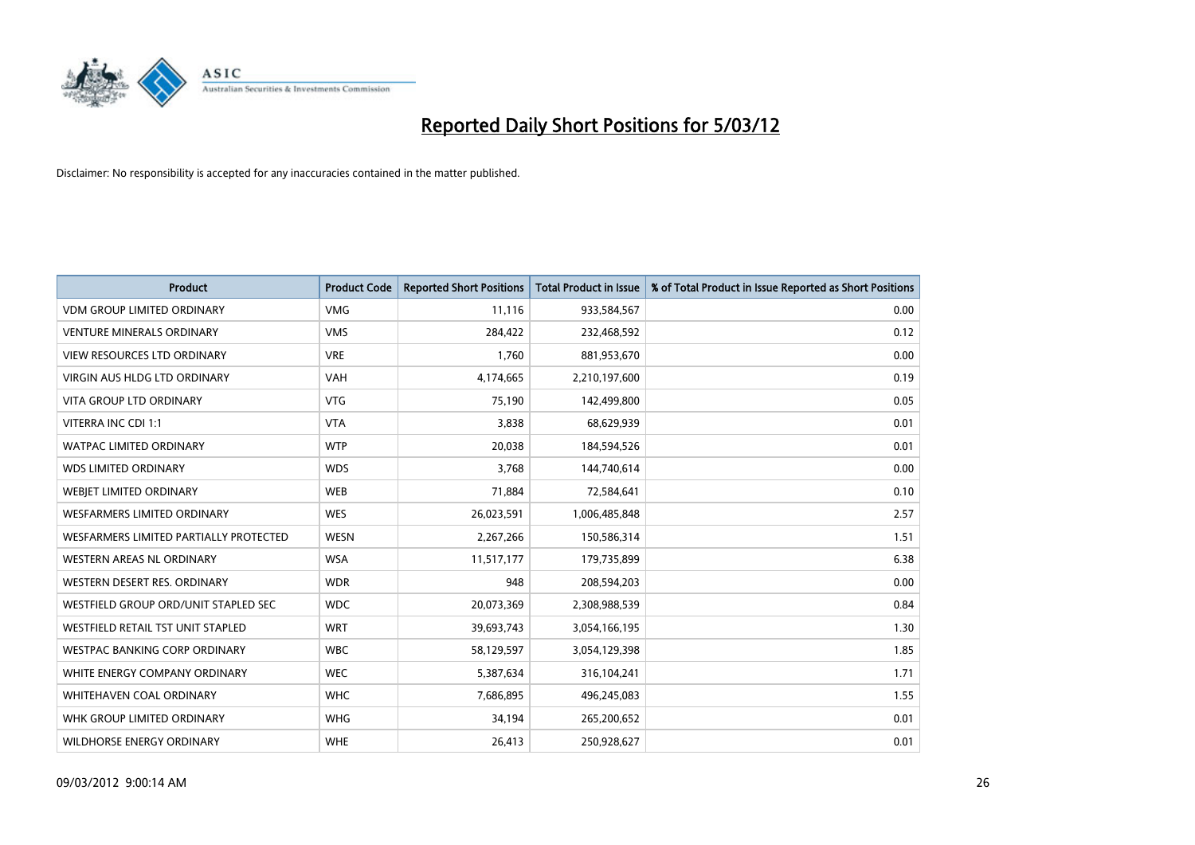

| <b>Product</b>                         | <b>Product Code</b> | <b>Reported Short Positions</b> | <b>Total Product in Issue</b> | % of Total Product in Issue Reported as Short Positions |
|----------------------------------------|---------------------|---------------------------------|-------------------------------|---------------------------------------------------------|
| <b>VDM GROUP LIMITED ORDINARY</b>      | <b>VMG</b>          | 11,116                          | 933,584,567                   | 0.00                                                    |
| <b>VENTURE MINERALS ORDINARY</b>       | <b>VMS</b>          | 284,422                         | 232,468,592                   | 0.12                                                    |
| VIEW RESOURCES LTD ORDINARY            | <b>VRE</b>          | 1,760                           | 881,953,670                   | 0.00                                                    |
| VIRGIN AUS HLDG LTD ORDINARY           | <b>VAH</b>          | 4,174,665                       | 2,210,197,600                 | 0.19                                                    |
| <b>VITA GROUP LTD ORDINARY</b>         | <b>VTG</b>          | 75,190                          | 142,499,800                   | 0.05                                                    |
| VITERRA INC CDI 1:1                    | <b>VTA</b>          | 3,838                           | 68,629,939                    | 0.01                                                    |
| <b>WATPAC LIMITED ORDINARY</b>         | <b>WTP</b>          | 20,038                          | 184,594,526                   | 0.01                                                    |
| <b>WDS LIMITED ORDINARY</b>            | <b>WDS</b>          | 3,768                           | 144,740,614                   | 0.00                                                    |
| <b>WEBIET LIMITED ORDINARY</b>         | <b>WEB</b>          | 71,884                          | 72,584,641                    | 0.10                                                    |
| WESFARMERS LIMITED ORDINARY            | <b>WES</b>          | 26,023,591                      | 1,006,485,848                 | 2.57                                                    |
| WESFARMERS LIMITED PARTIALLY PROTECTED | <b>WESN</b>         | 2,267,266                       | 150,586,314                   | 1.51                                                    |
| <b>WESTERN AREAS NL ORDINARY</b>       | <b>WSA</b>          | 11,517,177                      | 179,735,899                   | 6.38                                                    |
| WESTERN DESERT RES. ORDINARY           | <b>WDR</b>          | 948                             | 208,594,203                   | 0.00                                                    |
| WESTFIELD GROUP ORD/UNIT STAPLED SEC   | <b>WDC</b>          | 20,073,369                      | 2,308,988,539                 | 0.84                                                    |
| WESTFIELD RETAIL TST UNIT STAPLED      | <b>WRT</b>          | 39,693,743                      | 3,054,166,195                 | 1.30                                                    |
| <b>WESTPAC BANKING CORP ORDINARY</b>   | <b>WBC</b>          | 58,129,597                      | 3,054,129,398                 | 1.85                                                    |
| WHITE ENERGY COMPANY ORDINARY          | <b>WEC</b>          | 5,387,634                       | 316,104,241                   | 1.71                                                    |
| WHITEHAVEN COAL ORDINARY               | <b>WHC</b>          | 7,686,895                       | 496,245,083                   | 1.55                                                    |
| WHK GROUP LIMITED ORDINARY             | <b>WHG</b>          | 34,194                          | 265,200,652                   | 0.01                                                    |
| <b>WILDHORSE ENERGY ORDINARY</b>       | <b>WHE</b>          | 26,413                          | 250,928,627                   | 0.01                                                    |